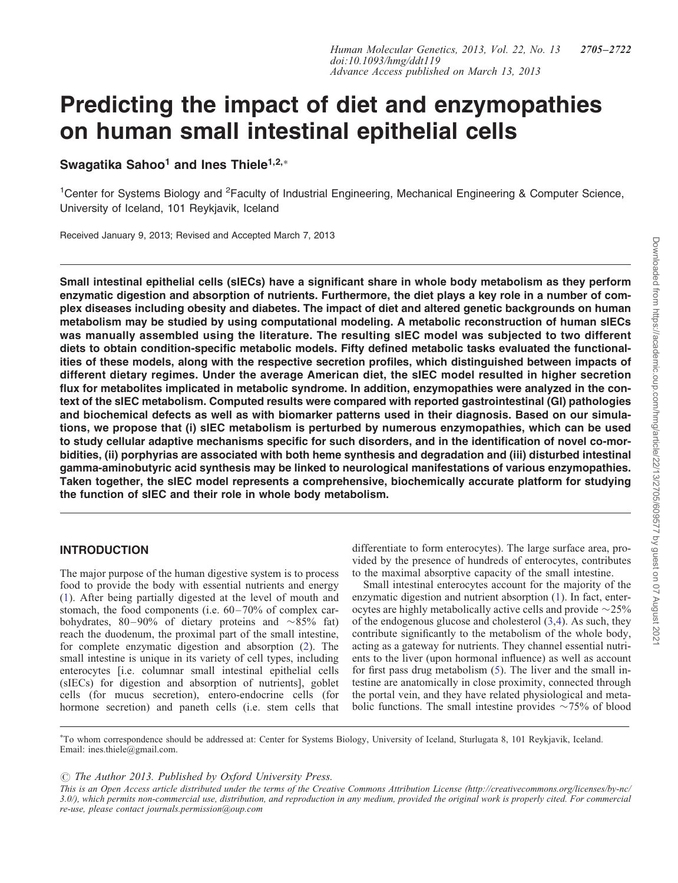# Predicting the impact of diet and enzymopathies on human small intestinal epithelial cells

Swagatika Sahoo<sup>1</sup> and Ines Thiele<sup>1,2,∗</sup>

<sup>1</sup>Center for Systems Biology and <sup>2</sup>Faculty of Industrial Engineering, Mechanical Engineering & Computer Science, University of Iceland, 101 Reykjavik, Iceland

Received January 9, 2013; Revised and Accepted March 7, 2013

Small intestinal epithelial cells (sIECs) have a significant share in whole body metabolism as they perform enzymatic digestion and absorption of nutrients. Furthermore, the diet plays a key role in a number of complex diseases including obesity and diabetes. The impact of diet and altered genetic backgrounds on human metabolism may be studied by using computational modeling. A metabolic reconstruction of human sIECs was manually assembled using the literature. The resulting sIEC model was subjected to two different diets to obtain condition-specific metabolic models. Fifty defined metabolic tasks evaluated the functionalities of these models, along with the respective secretion profiles, which distinguished between impacts of different dietary regimes. Under the average American diet, the sIEC model resulted in higher secretion flux for metabolites implicated in metabolic syndrome. In addition, enzymopathies were analyzed in the context of the sIEC metabolism. Computed results were compared with reported gastrointestinal (GI) pathologies and biochemical defects as well as with biomarker patterns used in their diagnosis. Based on our simulations, we propose that (i) sIEC metabolism is perturbed by numerous enzymopathies, which can be used to study cellular adaptive mechanisms specific for such disorders, and in the identification of novel co-morbidities, (ii) porphyrias are associated with both heme synthesis and degradation and (iii) disturbed intestinal gamma-aminobutyric acid synthesis may be linked to neurological manifestations of various enzymopathies. Taken together, the sIEC model represents a comprehensive, biochemically accurate platform for studying the function of sIEC and their role in whole body metabolism.

## INTRODUCTION

The major purpose of the human digestive system is to process food to provide the body with essential nutrients and energy (1). After being partially digested at the level of mouth and stomach, the food components (i.e.  $60-70\%$  of complex carbohydrates, 80–90% of dietary proteins and  $\sim$ 85% fat) reach the duodenum, the proximal part of the small intestine, for complete enzymatic digestion and absorption (2). The small intestine is unique in its variety of cell types, including enterocytes [i.e. columnar small intestinal epithelial cells (sIECs) for digestion and absorption of nutrients], goblet cells (for mucus secretion), entero-endocrine cells (for hormone secretion) and paneth cells (i.e. stem cells that

differentiate to form enterocytes). The large surface area, provided by the presence of hundreds of enterocytes, contributes to the maximal absorptive capacity of the small intestine.

Small intestinal enterocytes account for the majority of the enzymatic digestion and nutrient absorption (1). In fact, enterocytes are highly metabolically active cells and provide  $\sim$ 25% of the endogenous glucose and cholesterol (3,4). As such, they contribute significantly to the metabolism of the whole body, acting as a gateway for nutrients. They channel essential nutrients to the liver (upon hormonal influence) as well as account for first pass drug metabolism (5). The liver and the small intestine are anatomically in close proximity, connected through the portal vein, and they have related physiological and metabolic functions. The small intestine provides  $\sim$ 75% of blood

# *The Author 2013. Published by Oxford University Press.*

<sup>∗</sup> To whom correspondence should be addressed at: Center for Systems Biology, University of Iceland, Sturlugata 8, 101 Reykjavik, Iceland. Email: ines.thiele@gmail.com.

*This is an Open Access article distributed under the terms of the Creative Commons Attribution License (http://creativecommons.org/licenses/by-nc/ 3.0/), which permits non-commercial use, distribution, and reproduction in any medium, provided the original work is properly cited. For commercial re-use, please contact journals.permission@oup.com*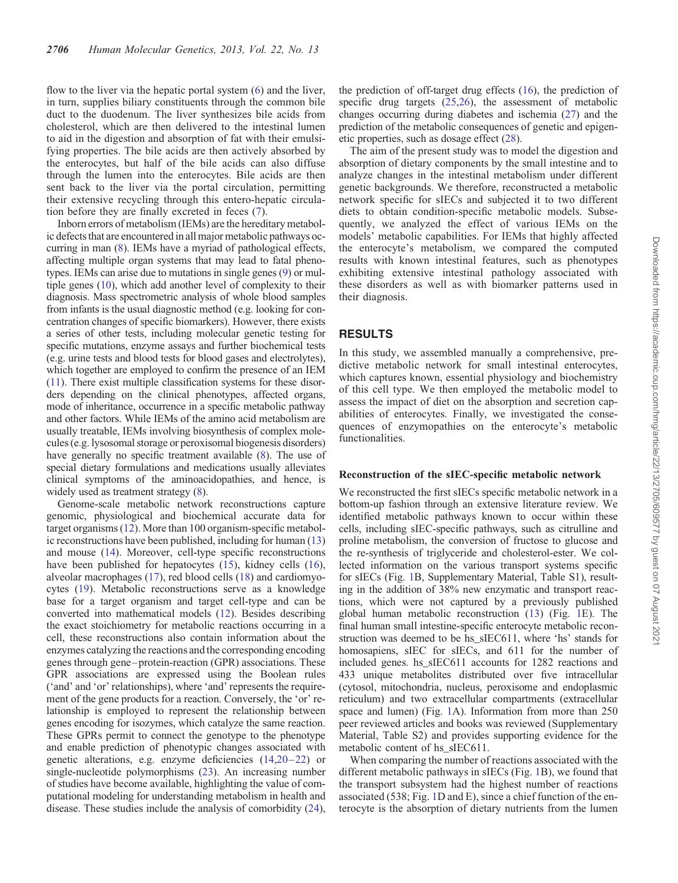flow to the liver via the hepatic portal system (6) and the liver, in turn, supplies biliary constituents through the common bile duct to the duodenum. The liver synthesizes bile acids from cholesterol, which are then delivered to the intestinal lumen to aid in the digestion and absorption of fat with their emulsifying properties. The bile acids are then actively absorbed by the enterocytes, but half of the bile acids can also diffuse through the lumen into the enterocytes. Bile acids are then sent back to the liver via the portal circulation, permitting their extensive recycling through this entero-hepatic circulation before they are finally excreted in feces (7).

Inborn errors of metabolism (IEMs) are the hereditary metabolic defects that are encountered in all major metabolic pathways occurring in man (8). IEMs have a myriad of pathological effects, affecting multiple organ systems that may lead to fatal phenotypes. IEMs can arise due to mutations in single genes (9) or multiple genes (10), which add another level of complexity to their diagnosis. Mass spectrometric analysis of whole blood samples from infants is the usual diagnostic method (e.g. looking for concentration changes of specific biomarkers). However, there exists a series of other tests, including molecular genetic testing for specific mutations, enzyme assays and further biochemical tests (e.g. urine tests and blood tests for blood gases and electrolytes), which together are employed to confirm the presence of an IEM (11). There exist multiple classification systems for these disorders depending on the clinical phenotypes, affected organs, mode of inheritance, occurrence in a specific metabolic pathway and other factors. While IEMs of the amino acid metabolism are usually treatable, IEMs involving biosynthesis of complex molecules (e.g. lysosomal storage or peroxisomal biogenesis disorders) have generally no specific treatment available (8). The use of special dietary formulations and medications usually alleviates clinical symptoms of the aminoacidopathies, and hence, is widely used as treatment strategy (8).

Genome-scale metabolic network reconstructions capture genomic, physiological and biochemical accurate data for target organisms (12). More than 100 organism-specific metabolic reconstructions have been published, including for human (13) and mouse (14). Moreover, cell-type specific reconstructions have been published for hepatocytes (15), kidney cells (16), alveolar macrophages (17), red blood cells (18) and cardiomyocytes (19). Metabolic reconstructions serve as a knowledge base for a target organism and target cell-type and can be converted into mathematical models (12). Besides describing the exact stoichiometry for metabolic reactions occurring in a cell, these reconstructions also contain information about the enzymes catalyzing the reactions and the corresponding encoding genes through gene–protein-reaction (GPR) associations. These GPR associations are expressed using the Boolean rules ('and' and 'or' relationships), where 'and' represents the requirement of the gene products for a reaction. Conversely, the 'or' relationship is employed to represent the relationship between genes encoding for isozymes, which catalyze the same reaction. These GPRs permit to connect the genotype to the phenotype and enable prediction of phenotypic changes associated with genetic alterations, e.g. enzyme deficiencies (14,20–22) or single-nucleotide polymorphisms (23). An increasing number of studies have become available, highlighting the value of computational modeling for understanding metabolism in health and disease. These studies include the analysis of comorbidity (24),

the prediction of off-target drug effects (16), the prediction of specific drug targets (25,26), the assessment of metabolic changes occurring during diabetes and ischemia (27) and the prediction of the metabolic consequences of genetic and epigenetic properties, such as dosage effect (28).

The aim of the present study was to model the digestion and absorption of dietary components by the small intestine and to analyze changes in the intestinal metabolism under different genetic backgrounds. We therefore, reconstructed a metabolic network specific for sIECs and subjected it to two different diets to obtain condition-specific metabolic models. Subsequently, we analyzed the effect of various IEMs on the models' metabolic capabilities. For IEMs that highly affected the enterocyte's metabolism, we compared the computed results with known intestinal features, such as phenotypes exhibiting extensive intestinal pathology associated with these disorders as well as with biomarker patterns used in their diagnosis.

# RESULTS

In this study, we assembled manually a comprehensive, predictive metabolic network for small intestinal enterocytes, which captures known, essential physiology and biochemistry of this cell type. We then employed the metabolic model to assess the impact of diet on the absorption and secretion capabilities of enterocytes. Finally, we investigated the consequences of enzymopathies on the enterocyte's metabolic functionalities.

## Reconstruction of the sIEC-specific metabolic network

We reconstructed the first sIECs specific metabolic network in a bottom-up fashion through an extensive literature review. We identified metabolic pathways known to occur within these cells, including sIEC-specific pathways, such as citrulline and proline metabolism, the conversion of fructose to glucose and the re-synthesis of triglyceride and cholesterol-ester. We collected information on the various transport systems specific for sIECs (Fig. 1B, Supplementary Material, Table S1), resulting in the addition of 38% new enzymatic and transport reactions, which were not captured by a previously published global human metabolic reconstruction (13) (Fig. 1E). The final human small intestine-specific enterocyte metabolic reconstruction was deemed to be hs sIEC611, where 'hs' stands for homosapiens, sIEC for sIECs, and 611 for the number of included genes. hs\_sIEC611 accounts for 1282 reactions and 433 unique metabolites distributed over five intracellular (cytosol, mitochondria, nucleus, peroxisome and endoplasmic reticulum) and two extracellular compartments (extracellular space and lumen) (Fig. 1A). Information from more than 250 peer reviewed articles and books was reviewed (Supplementary Material, Table S2) and provides supporting evidence for the metabolic content of hs\_sIEC611.

When comparing the number of reactions associated with the different metabolic pathways in sIECs (Fig. 1B), we found that the transport subsystem had the highest number of reactions associated (538; Fig. 1D and E), since a chief function of the enterocyte is the absorption of dietary nutrients from the lumen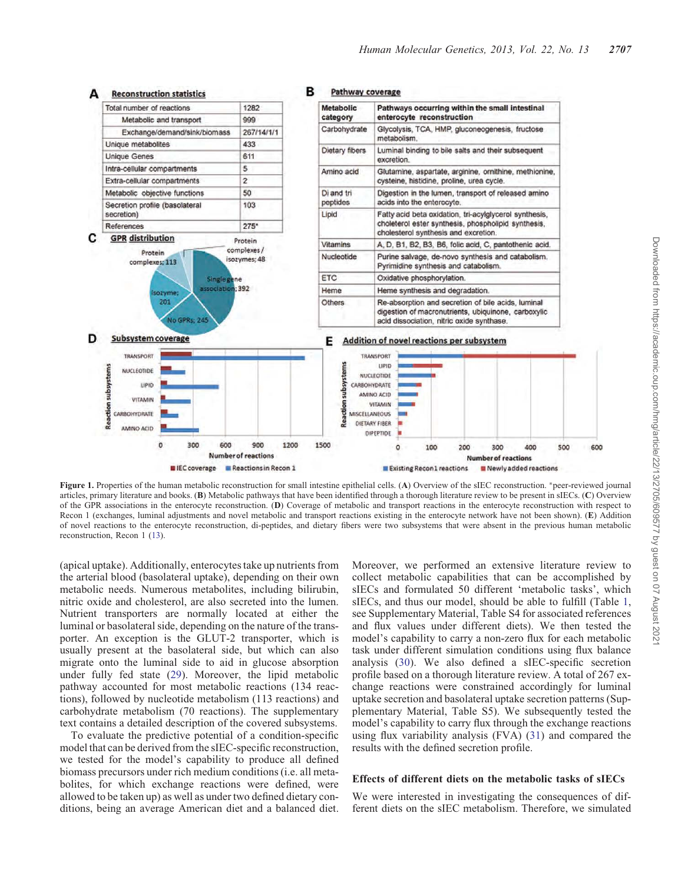

Figure 1. Properties of the human metabolic reconstruction for small intestine epithelial cells. (A) Overview of the sIEC reconstruction. <sup>∗</sup>peer-reviewed journal articles, primary literature and books. (B) Metabolic pathways that have been identified through a thorough literature review to be present in sIECs. (C) Overview of the GPR associations in the enterocyte reconstruction. (D) Coverage of metabolic and transport reactions in the enterocyte reconstruction with respect to Recon 1 (exchanges, luminal adjustments and novel metabolic and transport reactions existing in the enterocyte network have not been shown). (E) Addition of novel reactions to the enterocyte reconstruction, di-peptides, and dietary fibers were two subsystems that were absent in the previous human metabolic reconstruction, Recon 1 (13).

(apical uptake). Additionally, enterocytes take up nutrients from the arterial blood (basolateral uptake), depending on their own metabolic needs. Numerous metabolites, including bilirubin, nitric oxide and cholesterol, are also secreted into the lumen. Nutrient transporters are normally located at either the luminal or basolateral side, depending on the nature of the transporter. An exception is the GLUT-2 transporter, which is usually present at the basolateral side, but which can also migrate onto the luminal side to aid in glucose absorption under fully fed state (29). Moreover, the lipid metabolic pathway accounted for most metabolic reactions (134 reactions), followed by nucleotide metabolism (113 reactions) and carbohydrate metabolism (70 reactions). The supplementary text contains a detailed description of the covered subsystems.

To evaluate the predictive potential of a condition-specific model that can be derived from the sIEC-specific reconstruction, we tested for the model's capability to produce all defined biomass precursors under rich medium conditions (i.e. all metabolites, for which exchange reactions were defined, were allowed to be taken up) as well as under two defined dietary conditions, being an average American diet and a balanced diet.

Moreover, we performed an extensive literature review to collect metabolic capabilities that can be accomplished by sIECs and formulated 50 different 'metabolic tasks', which sIECs, and thus our model, should be able to fulfill (Table 1, see Supplementary Material, Table S4 for associated references and flux values under different diets). We then tested the model's capability to carry a non-zero flux for each metabolic task under different simulation conditions using flux balance analysis (30). We also defined a sIEC-specific secretion profile based on a thorough literature review. A total of 267 exchange reactions were constrained accordingly for luminal uptake secretion and basolateral uptake secretion patterns (Supplementary Material, Table S5). We subsequently tested the model's capability to carry flux through the exchange reactions using flux variability analysis (FVA) (31) and compared the results with the defined secretion profile.

#### Effects of different diets on the metabolic tasks of sIECs

We were interested in investigating the consequences of different diets on the sIEC metabolism. Therefore, we simulated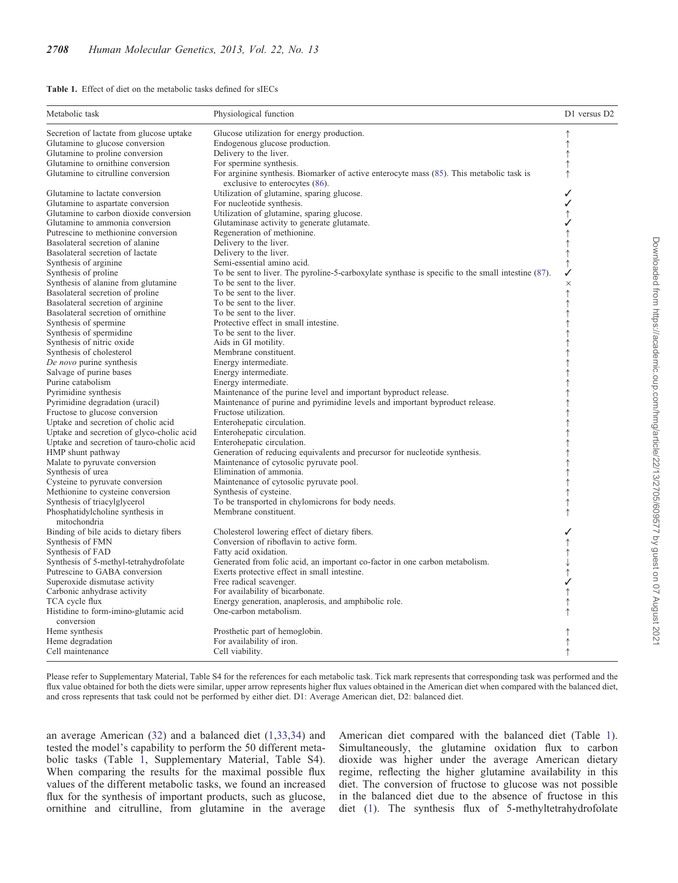| <b>Table 1.</b> Effect of diet on the metabolic tasks defined for sIECs |
|-------------------------------------------------------------------------|
|-------------------------------------------------------------------------|

| Metabolic task                                      | Physiological function                                                                                                     | D1 versus D2 |
|-----------------------------------------------------|----------------------------------------------------------------------------------------------------------------------------|--------------|
| Secretion of lactate from glucose uptake            | Glucose utilization for energy production.                                                                                 | $\uparrow$   |
| Glutamine to glucose conversion                     | Endogenous glucose production.                                                                                             | $\uparrow$   |
| Glutamine to proline conversion                     | Delivery to the liver.                                                                                                     | $\uparrow$   |
| Glutamine to ornithine conversion                   | For spermine synthesis.                                                                                                    | $\uparrow$   |
| Glutamine to citrulline conversion                  | For arginine synthesis. Biomarker of active enterocyte mass (85). This metabolic task is<br>exclusive to enterocytes (86). | ↑            |
| Glutamine to lactate conversion                     | Utilization of glutamine, sparing glucose.                                                                                 | ✓            |
| Glutamine to aspartate conversion                   | For nucleotide synthesis.                                                                                                  | ✓            |
| Glutamine to carbon dioxide conversion              | Utilization of glutamine, sparing glucose.                                                                                 |              |
| Glutamine to ammonia conversion                     | Glutaminase activity to generate glutamate.                                                                                | ✓            |
| Putrescine to methionine conversion                 | Regeneration of methionine.                                                                                                |              |
| Basolateral secretion of alanine                    | Delivery to the liver.                                                                                                     | $\uparrow$   |
| Basolateral secretion of lactate                    | Delivery to the liver.                                                                                                     | $\uparrow$   |
| Synthesis of arginine                               | Semi-essential amino acid.                                                                                                 | $\uparrow$   |
| Synthesis of proline                                | To be sent to liver. The pyroline-5-carboxylate synthase is specific to the small intestine (87).                          | ✓            |
| Synthesis of alanine from glutamine                 | To be sent to the liver.                                                                                                   | $\times$     |
| Basolateral secretion of proline                    | To be sent to the liver.                                                                                                   | $\uparrow$   |
| Basolateral secretion of arginine                   | To be sent to the liver.                                                                                                   | $\uparrow$   |
| Basolateral secretion of ornithine                  | To be sent to the liver.                                                                                                   |              |
| Synthesis of spermine                               | Protective effect in small intestine.                                                                                      |              |
| Synthesis of spermidine                             | To be sent to the liver.                                                                                                   | $\uparrow$   |
| Synthesis of nitric oxide                           | Aids in GI motility.                                                                                                       |              |
| Synthesis of cholesterol                            | Membrane constituent.                                                                                                      |              |
| De novo purine synthesis                            | Energy intermediate.                                                                                                       | $\uparrow$   |
| Salvage of purine bases                             | Energy intermediate.                                                                                                       |              |
| Purine catabolism                                   | Energy intermediate.                                                                                                       |              |
| Pyrimidine synthesis                                | Maintenance of the purine level and important byproduct release.                                                           |              |
| Pyrimidine degradation (uracil)                     | Maintenance of purine and pyrimidine levels and important byproduct release.                                               |              |
| Fructose to glucose conversion                      | Fructose utilization.                                                                                                      |              |
| Uptake and secretion of cholic acid                 | Enterohepatic circulation.                                                                                                 |              |
| Uptake and secretion of glyco-cholic acid           | Enterohepatic circulation.                                                                                                 |              |
| Uptake and secretion of tauro-cholic acid           | Enterohepatic circulation.                                                                                                 |              |
| HMP shunt pathway                                   | Generation of reducing equivalents and precursor for nucleotide synthesis.                                                 |              |
| Malate to pyruvate conversion                       | Maintenance of cytosolic pyruvate pool.                                                                                    | $\uparrow$   |
| Synthesis of urea                                   | Elimination of ammonia.                                                                                                    |              |
| Cysteine to pyruvate conversion                     | Maintenance of cytosolic pyruvate pool.                                                                                    |              |
| Methionine to cysteine conversion                   | Synthesis of cysteine.                                                                                                     | ↑            |
| Synthesis of triacylglycerol                        | To be transported in chylomicrons for body needs.                                                                          |              |
| Phosphatidylcholine synthesis in<br>mitochondria    | Membrane constituent.                                                                                                      | ↑            |
| Binding of bile acids to dietary fibers             | Cholesterol lowering effect of dietary fibers.                                                                             |              |
| Synthesis of FMN                                    | Conversion of riboflavin to active form.                                                                                   |              |
| Synthesis of FAD                                    | Fatty acid oxidation.                                                                                                      |              |
| Synthesis of 5-methyl-tetrahydrofolate              | Generated from folic acid, an important co-factor in one carbon metabolism.                                                |              |
| Putrescine to GABA conversion                       | Exerts protective effect in small intestine.                                                                               | $\uparrow$   |
| Superoxide dismutase activity                       | Free radical scavenger.                                                                                                    | ✓            |
| Carbonic anhydrase activity                         | For availability of bicarbonate.                                                                                           |              |
| TCA cycle flux                                      | Energy generation, anaplerosis, and amphibolic role.                                                                       | $\uparrow$   |
| Histidine to form-imino-glutamic acid<br>conversion | One-carbon metabolism.                                                                                                     | ↑            |
| Heme synthesis                                      | Prosthetic part of hemoglobin.                                                                                             |              |
| Heme degradation                                    | For availability of iron.                                                                                                  |              |
| Cell maintenance                                    | Cell viability.                                                                                                            | ↑            |

Please refer to Supplementary Material, Table S4 for the references for each metabolic task. Tick mark represents that corresponding task was performed and the flux value obtained for both the diets were similar, upper arrow represents higher flux values obtained in the American diet when compared with the balanced diet, and cross represents that task could not be performed by either diet. D1: Average American diet, D2: balanced diet.

an average American (32) and a balanced diet (1,33,34) and tested the model's capability to perform the 50 different metabolic tasks (Table 1, Supplementary Material, Table S4). When comparing the results for the maximal possible flux values of the different metabolic tasks, we found an increased flux for the synthesis of important products, such as glucose, ornithine and citrulline, from glutamine in the average

American diet compared with the balanced diet (Table 1). Simultaneously, the glutamine oxidation flux to carbon dioxide was higher under the average American dietary regime, reflecting the higher glutamine availability in this diet. The conversion of fructose to glucose was not possible in the balanced diet due to the absence of fructose in this diet (1). The synthesis flux of 5-methyltetrahydrofolate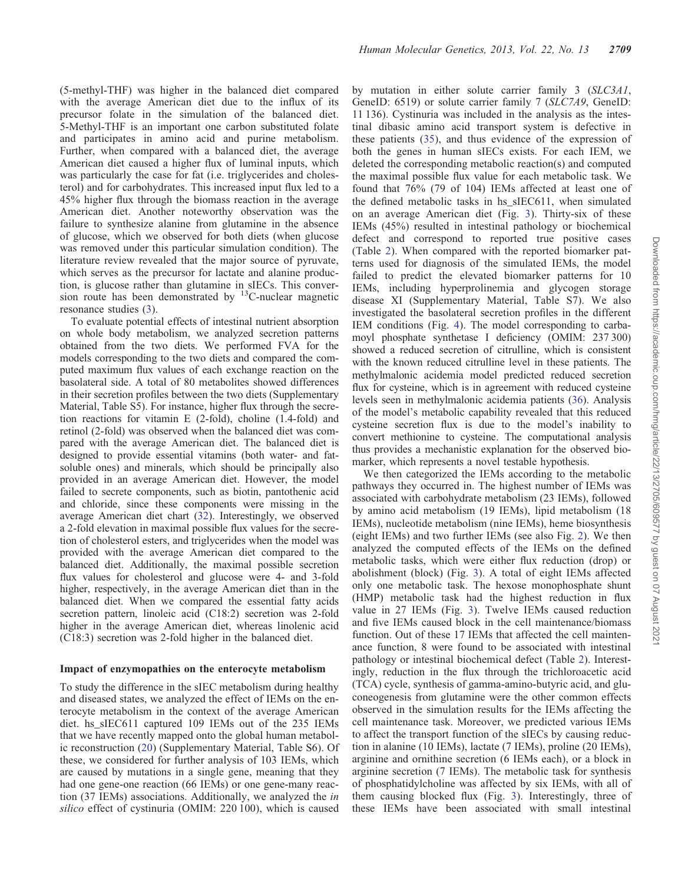(5-methyl-THF) was higher in the balanced diet compared with the average American diet due to the influx of its precursor folate in the simulation of the balanced diet. 5-Methyl-THF is an important one carbon substituted folate and participates in amino acid and purine metabolism. Further, when compared with a balanced diet, the average American diet caused a higher flux of luminal inputs, which was particularly the case for fat (i.e. triglycerides and cholesterol) and for carbohydrates. This increased input flux led to a 45% higher flux through the biomass reaction in the average American diet. Another noteworthy observation was the failure to synthesize alanine from glutamine in the absence of glucose, which we observed for both diets (when glucose was removed under this particular simulation condition). The literature review revealed that the major source of pyruvate, which serves as the precursor for lactate and alanine production, is glucose rather than glutamine in sIECs. This conversion route has been demonstrated by  $^{13}$ C-nuclear magnetic resonance studies (3).

To evaluate potential effects of intestinal nutrient absorption on whole body metabolism, we analyzed secretion patterns obtained from the two diets. We performed FVA for the models corresponding to the two diets and compared the computed maximum flux values of each exchange reaction on the basolateral side. A total of 80 metabolites showed differences in their secretion profiles between the two diets (Supplementary Material, Table S5). For instance, higher flux through the secretion reactions for vitamin E (2-fold), choline (1.4-fold) and retinol (2-fold) was observed when the balanced diet was compared with the average American diet. The balanced diet is designed to provide essential vitamins (both water- and fatsoluble ones) and minerals, which should be principally also provided in an average American diet. However, the model failed to secrete components, such as biotin, pantothenic acid and chloride, since these components were missing in the average American diet chart (32). Interestingly, we observed a 2-fold elevation in maximal possible flux values for the secretion of cholesterol esters, and triglycerides when the model was provided with the average American diet compared to the balanced diet. Additionally, the maximal possible secretion flux values for cholesterol and glucose were 4- and 3-fold higher, respectively, in the average American diet than in the balanced diet. When we compared the essential fatty acids secretion pattern, linoleic acid (C18:2) secretion was 2-fold higher in the average American diet, whereas linolenic acid (C18:3) secretion was 2-fold higher in the balanced diet.

#### Impact of enzymopathies on the enterocyte metabolism

To study the difference in the sIEC metabolism during healthy and diseased states, we analyzed the effect of IEMs on the enterocyte metabolism in the context of the average American diet. hs sIEC611 captured 109 IEMs out of the 235 IEMs that we have recently mapped onto the global human metabolic reconstruction (20) (Supplementary Material, Table S6). Of these, we considered for further analysis of 103 IEMs, which are caused by mutations in a single gene, meaning that they had one gene-one reaction (66 IEMs) or one gene-many reaction (37 IEMs) associations. Additionally, we analyzed the *in silico* effect of cystinuria (OMIM: 220 100), which is caused

by mutation in either solute carrier family 3 (*SLC3A1*, GeneID: 6519) or solute carrier family 7 (*SLC7A9*, GeneID: 11 136). Cystinuria was included in the analysis as the intestinal dibasic amino acid transport system is defective in these patients (35), and thus evidence of the expression of both the genes in human sIECs exists. For each IEM, we deleted the corresponding metabolic reaction(s) and computed the maximal possible flux value for each metabolic task. We found that 76% (79 of 104) IEMs affected at least one of the defined metabolic tasks in hs\_sIEC611, when simulated on an average American diet (Fig. 3). Thirty-six of these IEMs (45%) resulted in intestinal pathology or biochemical defect and correspond to reported true positive cases (Table 2). When compared with the reported biomarker patterns used for diagnosis of the simulated IEMs, the model failed to predict the elevated biomarker patterns for 10 IEMs, including hyperprolinemia and glycogen storage disease XI (Supplementary Material, Table S7). We also investigated the basolateral secretion profiles in the different IEM conditions (Fig. 4). The model corresponding to carbamoyl phosphate synthetase I deficiency (OMIM: 237 300) showed a reduced secretion of citrulline, which is consistent with the known reduced citrulline level in these patients. The methylmalonic acidemia model predicted reduced secretion flux for cysteine, which is in agreement with reduced cysteine levels seen in methylmalonic acidemia patients (36). Analysis of the model's metabolic capability revealed that this reduced cysteine secretion flux is due to the model's inability to convert methionine to cysteine. The computational analysis thus provides a mechanistic explanation for the observed biomarker, which represents a novel testable hypothesis.

We then categorized the IEMs according to the metabolic pathways they occurred in. The highest number of IEMs was associated with carbohydrate metabolism (23 IEMs), followed by amino acid metabolism (19 IEMs), lipid metabolism (18 IEMs), nucleotide metabolism (nine IEMs), heme biosynthesis (eight IEMs) and two further IEMs (see also Fig. 2). We then analyzed the computed effects of the IEMs on the defined metabolic tasks, which were either flux reduction (drop) or abolishment (block) (Fig. 3). A total of eight IEMs affected only one metabolic task. The hexose monophosphate shunt (HMP) metabolic task had the highest reduction in flux value in 27 IEMs (Fig. 3). Twelve IEMs caused reduction and five IEMs caused block in the cell maintenance/biomass function. Out of these 17 IEMs that affected the cell maintenance function, 8 were found to be associated with intestinal pathology or intestinal biochemical defect (Table 2). Interestingly, reduction in the flux through the trichloroacetic acid (TCA) cycle, synthesis of gamma-amino-butyric acid, and gluconeogenesis from glutamine were the other common effects observed in the simulation results for the IEMs affecting the cell maintenance task. Moreover, we predicted various IEMs to affect the transport function of the sIECs by causing reduction in alanine (10 IEMs), lactate (7 IEMs), proline (20 IEMs), arginine and ornithine secretion (6 IEMs each), or a block in arginine secretion (7 IEMs). The metabolic task for synthesis of phosphatidylcholine was affected by six IEMs, with all of them causing blocked flux (Fig. 3). Interestingly, three of these IEMs have been associated with small intestinal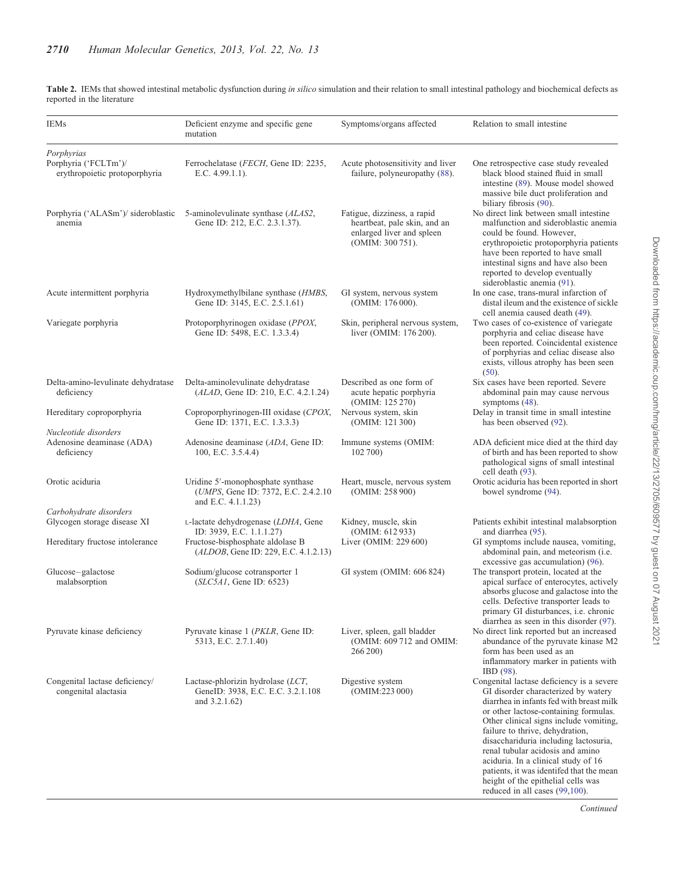| <b>IEMs</b>                                                                              | Deficient enzyme and specific gene<br>mutation                                                                                              | Symptoms/organs affected                                                                                    | Relation to small intestine                                                                                                                                                                                                                                                                                                                                            |
|------------------------------------------------------------------------------------------|---------------------------------------------------------------------------------------------------------------------------------------------|-------------------------------------------------------------------------------------------------------------|------------------------------------------------------------------------------------------------------------------------------------------------------------------------------------------------------------------------------------------------------------------------------------------------------------------------------------------------------------------------|
| Porphyrias<br>Porphyria ('FCLTm')/<br>erythropoietic protoporphyria                      | Ferrochelatase (FECH, Gene ID: 2235,<br>E.C. $4.99.1.1$ ).                                                                                  | Acute photosensitivity and liver<br>failure, polyneuropathy (88).                                           | One retrospective case study revealed<br>black blood stained fluid in small<br>intestine (89). Mouse model showed<br>massive bile duct proliferation and                                                                                                                                                                                                               |
| Porphyria ('ALASm')/ sideroblastic<br>anemia                                             | 5-aminolevulinate synthase (ALAS2,<br>Gene ID: 212, E.C. 2.3.1.37).                                                                         | Fatigue, dizziness, a rapid<br>heartbeat, pale skin, and an<br>enlarged liver and spleen<br>(OMIM: 300751). | biliary fibrosis (90).<br>No direct link between small intestine<br>malfunction and sideroblastic anemia<br>could be found. However,<br>erythropoietic protoporphyria patients<br>have been reported to have small<br>intestinal signs and have also been<br>reported to develop eventually<br>sideroblastic anemia (91).                                              |
| Acute intermittent porphyria                                                             | Hydroxymethylbilane synthase ( <i>HMBS</i> ,<br>Gene ID: 3145, E.C. 2.5.1.61)                                                               | GI system, nervous system<br>(OMIM: 176 000).                                                               | In one case, trans-mural infarction of<br>distal ileum and the existence of sickle<br>cell anemia caused death (49).                                                                                                                                                                                                                                                   |
| Variegate porphyria                                                                      | Protoporphyrinogen oxidase (PPOX,<br>Gene ID: 5498, E.C. 1.3.3.4)                                                                           | Skin, peripheral nervous system,<br>liver (OMIM: 176 200).                                                  | Two cases of co-existence of variegate<br>porphyria and celiac disease have<br>been reported. Coincidental existence<br>of porphyrias and celiac disease also<br>exists, villous atrophy has been seen<br>(50).                                                                                                                                                        |
| Delta-amino-levulinate dehydratase<br>deficiency                                         | Delta-aminolevulinate dehydratase<br>$(ALAD,$ Gene ID: 210, E.C. 4.2.1.24)                                                                  | Described as one form of<br>acute hepatic porphyria<br>(OMIM: 125 270)                                      | Six cases have been reported. Severe<br>abdominal pain may cause nervous<br>symptoms $(48)$ .                                                                                                                                                                                                                                                                          |
| Hereditary coproporphyria                                                                | Coproporphyrinogen-III oxidase (CPOX,<br>Gene ID: 1371, E.C. 1.3.3.3)                                                                       | Nervous system, skin<br>(OMIM: 121 300)                                                                     | Delay in transit time in small intestine<br>has been observed (92).                                                                                                                                                                                                                                                                                                    |
| Nucleotide disorders<br>Adenosine deaminase (ADA)<br>deficiency                          | Adenosine deaminase (ADA, Gene ID:<br>100, E.C. $3.5.4.4$ )                                                                                 | Immune systems (OMIM:<br>102 700)                                                                           | ADA deficient mice died at the third day<br>of birth and has been reported to show<br>pathological signs of small intestinal<br>cell death (93).                                                                                                                                                                                                                       |
| Orotic aciduria                                                                          | Uridine 5'-monophosphate synthase<br>(UMPS, Gene ID: 7372, E.C. 2.4.2.10)<br>and E.C. 4.1.1.23)                                             | Heart, muscle, nervous system<br>(OMIM: 258 900)                                                            | Orotic aciduria has been reported in short<br>bowel syndrome (94).                                                                                                                                                                                                                                                                                                     |
| Carbohydrate disorders<br>Glycogen storage disease XI<br>Hereditary fructose intolerance | L-lactate dehydrogenase (LDHA, Gene<br>ID: 3939, E.C. 1.1.1.27)<br>Fructose-bisphosphate aldolase B<br>(ALDOB, Gene ID: 229, E.C. 4.1.2.13) | Kidney, muscle, skin<br>(OMIM: 612933)<br>Liver (OMIM: 229 600)                                             | Patients exhibit intestinal malabsorption<br>and diarrhea (95).<br>GI symptoms include nausea, vomiting,<br>abdominal pain, and meteorism (i.e.                                                                                                                                                                                                                        |
| Glucose-galactose<br>malabsorption                                                       | Sodium/glucose cotransporter 1<br>$(SLC5A1,$ Gene ID: 6523)                                                                                 | GI system (OMIM: 606 824)                                                                                   | excessive gas accumulation) (96).<br>The transport protein, located at the<br>apical surface of enterocytes, actively<br>absorbs glucose and galactose into the<br>cells. Defective transporter leads to<br>primary GI disturbances, <i>i.e.</i> chronic                                                                                                               |
| Pyruvate kinase deficiency                                                               | Pyruvate kinase 1 ( <i>PKLR</i> , Gene ID:<br>5313, E.C. 2.7.1.40)                                                                          | Liver, spleen, gall bladder<br>(OMIM: 609 712 and OMIM:<br>266 200)                                         | diarrhea as seen in this disorder (97).<br>No direct link reported but an increased<br>abundance of the pyruvate kinase M2<br>form has been used as an<br>inflammatory marker in patients with<br>IBD (98).                                                                                                                                                            |
| Congenital lactase deficiency/<br>congenital alactasia                                   | Lactase-phlorizin hydrolase (LCT,<br>GeneID: 3938, E.C. E.C. 3.2.1.108<br>and 3.2.1.62)                                                     | Digestive system<br>(OMIM:223 000)                                                                          | Congenital lactase deficiency is a severe<br>GI disorder characterized by watery<br>diarrhea in infants fed with breast milk<br>or other lactose-containing formulas.<br>Other clinical signs include vomiting,<br>failure to thrive, dehydration,<br>disacchariduria including lactosuria,<br>renal tubular acidosis and amino<br>aciduria. In a clinical study of 16 |

Table 2. IEMs that showed intestinal metabolic dysfunction during *in silico* simulation and their relation to small intestinal pathology and biochemical defects as reported in the literature

patients, it was identifed that the mean height of the epithelial cells was reduced in all cases (99,100).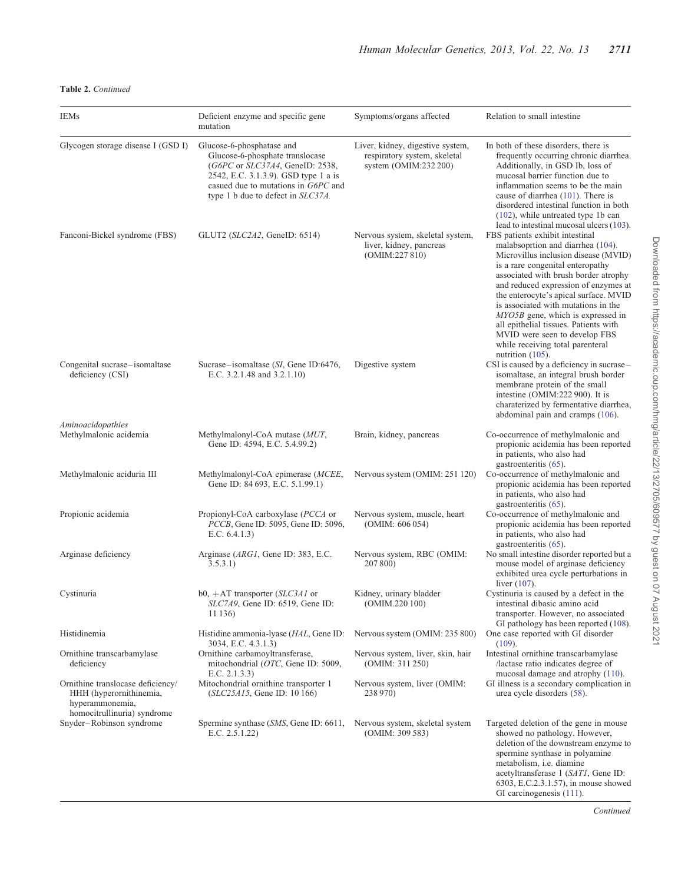|  | Table 2. Continued |
|--|--------------------|
|--|--------------------|

| <b>IEMs</b>                                                                                                    | Deficient enzyme and specific gene<br>mutation                                                                                                                                                                              | Symptoms/organs affected                                                                  | Relation to small intestine                                                                                                                                                                                                                                                                                                                                                                                                                                                             |
|----------------------------------------------------------------------------------------------------------------|-----------------------------------------------------------------------------------------------------------------------------------------------------------------------------------------------------------------------------|-------------------------------------------------------------------------------------------|-----------------------------------------------------------------------------------------------------------------------------------------------------------------------------------------------------------------------------------------------------------------------------------------------------------------------------------------------------------------------------------------------------------------------------------------------------------------------------------------|
| Glycogen storage disease I (GSD I)                                                                             | Glucose-6-phosphatase and<br>Glucose-6-phosphate translocase<br>(G6PC or SLC37A4, GeneID: 2538,<br>2542, E.C. 3.1.3.9). GSD type 1 a is<br>casued due to mutations in G6PC and<br>type 1 b due to defect in <i>SLC37A</i> . | Liver, kidney, digestive system,<br>respiratory system, skeletal<br>system (OMIM:232 200) | In both of these disorders, there is<br>frequently occurring chronic diarrhea.<br>Additionally, in GSD Ib, loss of<br>mucosal barrier function due to<br>inflammation seems to be the main<br>cause of diarrhea (101). There is<br>disordered intestinal function in both<br>$(102)$ , while untreated type 1b can<br>lead to intestinal mucosal ulcers (103).                                                                                                                          |
| Fanconi-Bickel syndrome (FBS)                                                                                  | GLUT2 ( $SLC2A2$ , GeneID: 6514)                                                                                                                                                                                            | Nervous system, skeletal system,<br>liver, kidney, pancreas<br>(OMIM:227810)              | FBS patients exhibit intestinal<br>malabsoprtion and diarrhea (104).<br>Microvillus inclusion disease (MVID)<br>is a rare congenital enteropathy<br>associated with brush border atrophy<br>and reduced expression of enzymes at<br>the enterocyte's apical surface. MVID<br>is associated with mutations in the<br>MYO5B gene, which is expressed in<br>all epithelial tissues. Patients with<br>MVID were seen to develop FBS<br>while receiving total parenteral<br>nutrition (105). |
| Congenital sucrase-isomaltase<br>deficiency (CSI)                                                              | Sucrase-isomaltase (SI, Gene ID:6476,<br>E.C. $3.2.1.48$ and $3.2.1.10$ )                                                                                                                                                   | Digestive system                                                                          | CSI is caused by a deficiency in sucrase-<br>isomaltase, an integral brush border<br>membrane protein of the small<br>intestine (OMIM:222 900). It is<br>charaterized by fermentative diarrhea,<br>abdominal pain and cramps (106).                                                                                                                                                                                                                                                     |
| Aminoacidopathies<br>Methylmalonic acidemia                                                                    | Methylmalonyl-CoA mutase (MUT,<br>Gene ID: 4594, E.C. 5.4.99.2)                                                                                                                                                             | Brain, kidney, pancreas                                                                   | Co-occurrence of methylmalonic and<br>propionic acidemia has been reported<br>in patients, who also had                                                                                                                                                                                                                                                                                                                                                                                 |
| Methylmalonic aciduria III                                                                                     | Methylmalonyl-CoA epimerase ( <i>MCEE</i> ,<br>Gene ID: 84 693, E.C. 5.1.99.1)                                                                                                                                              | Nervous system (OMIM: 251 120)                                                            | gastroenteritis (65).<br>Co-occurrence of methylmalonic and<br>propionic acidemia has been reported<br>in patients, who also had<br>gastroenteritis (65).                                                                                                                                                                                                                                                                                                                               |
| Propionic acidemia                                                                                             | Propionyl-CoA carboxylase ( <i>PCCA</i> or<br>PCCB, Gene ID: 5095, Gene ID: 5096,<br>E.C. $6.4.1.3$ )                                                                                                                       | Nervous system, muscle, heart<br>(OMIM: 606 054)                                          | Co-occurrence of methylmalonic and<br>propionic acidemia has been reported<br>in patients, who also had<br>gastroenteritis (65).                                                                                                                                                                                                                                                                                                                                                        |
| Arginase deficiency                                                                                            | Arginase (ARG1, Gene ID: 383, E.C.<br>3.5.3.1)                                                                                                                                                                              | Nervous system, RBC (OMIM:<br>207 800)                                                    | No small intestine disorder reported but a<br>mouse model of arginase deficiency<br>exhibited urea cycle perturbations in<br>liver $(107)$ .                                                                                                                                                                                                                                                                                                                                            |
| Cystinuria                                                                                                     | b0, +AT transporter $(SLC3A1$ or<br>$SLC7A9$ , Gene ID: 6519, Gene ID:<br>11 136)                                                                                                                                           | Kidney, urinary bladder<br>(OMIM.220100)                                                  | Cystinuria is caused by a defect in the<br>intestinal dibasic amino acid<br>transporter. However, no associated<br>GI pathology has been reported (108).                                                                                                                                                                                                                                                                                                                                |
| Histidinemia                                                                                                   | Histidine ammonia-lyase ( <i>HAL</i> , Gene ID:                                                                                                                                                                             | Nervous system (OMIM: 235 800)                                                            | One case reported with GI disorder                                                                                                                                                                                                                                                                                                                                                                                                                                                      |
| Ornithine transcarbamylase<br>deficiency                                                                       | 3034, E.C. 4.3.1.3)<br>Ornithine carbamoyltransferase,<br>mitochondrial ( $OTC$ , Gene ID: 5009,<br>E.C. $2.1.3.3$ )                                                                                                        | Nervous system, liver, skin, hair<br>(OMIM: 311 250)                                      | $(109)$ .<br>Intestinal ornithine transcarbamylase<br>lactase ratio indicates degree of<br>mucosal damage and atrophy (110).                                                                                                                                                                                                                                                                                                                                                            |
| Ornithine translocase deficiency/<br>HHH (hyperornithinemia,<br>hyperammonemia,<br>homocitrullinuria) syndrome | Mitochondrial ornithine transporter 1<br>( <i>SLC25A15</i> , Gene ID: 10 166)                                                                                                                                               | Nervous system, liver (OMIM:<br>238 970)                                                  | GI illness is a secondary complication in<br>urea cycle disorders (58).                                                                                                                                                                                                                                                                                                                                                                                                                 |
| Snyder-Robinson syndrome                                                                                       | Spermine synthase (SMS, Gene ID: 6611,<br>E.C. $2.5.1.22$                                                                                                                                                                   | Nervous system, skeletal system<br>(OMIM: 309 583)                                        | Targeted deletion of the gene in mouse<br>showed no pathology. However,<br>deletion of the downstream enzyme to<br>spermine synthase in polyamine<br>metabolism, i.e. diamine<br>acetyltransferase 1 (SAT1, Gene ID:<br>6303, E.C.2.3.1.57), in mouse showed                                                                                                                                                                                                                            |

GI carcinogenesis (111).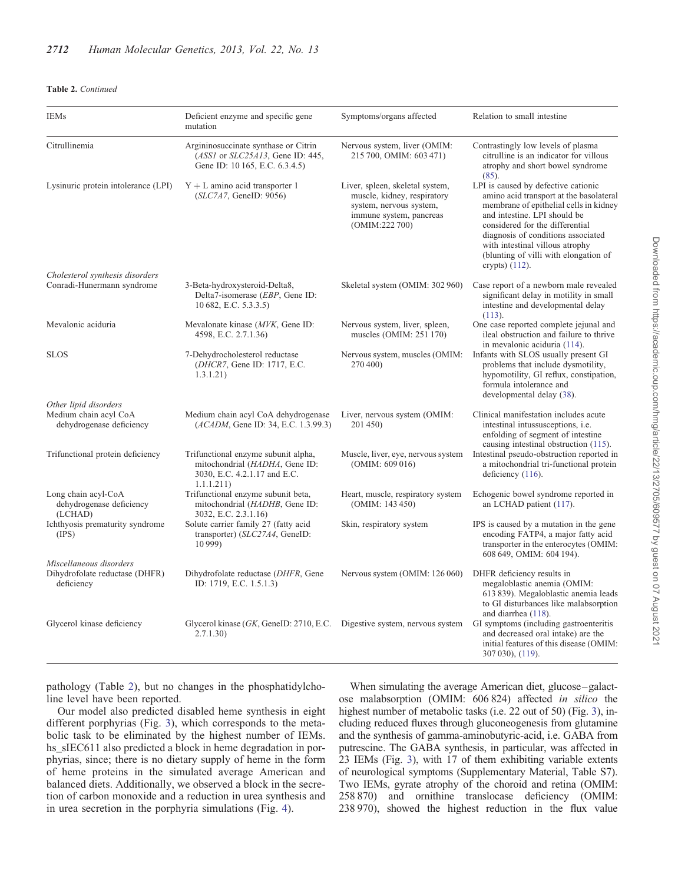| Table 2. Continued |  |
|--------------------|--|
|--------------------|--|

| <b>IEMs</b>                                                                | Deficient enzyme and specific gene<br>mutation                                                                      | Symptoms/organs affected                                                                                                              | Relation to small intestine                                                                                                                                                                                                                                                                                                        |
|----------------------------------------------------------------------------|---------------------------------------------------------------------------------------------------------------------|---------------------------------------------------------------------------------------------------------------------------------------|------------------------------------------------------------------------------------------------------------------------------------------------------------------------------------------------------------------------------------------------------------------------------------------------------------------------------------|
| Citrullinemia                                                              | Argininosuccinate synthase or Citrin<br>$(ASSI)$ or $SLC25A13$ , Gene ID: 445,<br>Gene ID: 10 165, E.C. 6.3.4.5)    | Nervous system, liver (OMIM:<br>215 700, OMIM: 603 471)                                                                               | Contrastingly low levels of plasma<br>citrulline is an indicator for villous<br>atrophy and short bowel syndrome<br>(85).                                                                                                                                                                                                          |
| Lysinuric protein intolerance (LPI)                                        | $Y + L$ amino acid transporter 1<br>(SLC7A7, GeneID: 9056)                                                          | Liver, spleen, skeletal system,<br>muscle, kidney, respiratory<br>system, nervous system,<br>immune system, pancreas<br>(OMIM:222700) | LPI is caused by defective cationic<br>amino acid transport at the basolateral<br>membrane of epithelial cells in kidney<br>and intestine. LPI should be<br>considered for the differential<br>diagnosis of conditions associated<br>with intestinal villous atrophy<br>(blunting of villi with elongation of<br>crypts) $(112)$ . |
| Cholesterol synthesis disorders<br>Conradi-Hunermann syndrome              | 3-Beta-hydroxysteroid-Delta8,<br>Delta7-isomerase (EBP, Gene ID:<br>$10682$ , E.C. 5.3.3.5)                         | Skeletal system (OMIM: 302 960)                                                                                                       | Case report of a newborn male revealed<br>significant delay in motility in small<br>intestine and developmental delay<br>(113).                                                                                                                                                                                                    |
| Mevalonic aciduria                                                         | Mevalonate kinase (MVK, Gene ID:<br>4598, E.C. 2.7.1.36)                                                            | Nervous system, liver, spleen,<br>muscles (OMIM: 251 170)                                                                             | One case reported complete jejunal and<br>ileal obstruction and failure to thrive<br>in mevalonic aciduria (114).                                                                                                                                                                                                                  |
| <b>SLOS</b>                                                                | 7-Dehydrocholesterol reductase<br>(DHCR7, Gene ID: 1717, E.C.<br>1.3.1.21)                                          | Nervous system, muscles (OMIM:<br>270 400)                                                                                            | Infants with SLOS usually present GI<br>problems that include dysmotility,<br>hypomotility, GI reflux, constipation,<br>formula intolerance and<br>developmental delay (38).                                                                                                                                                       |
| Other lipid disorders<br>Medium chain acyl CoA<br>dehydrogenase deficiency | Medium chain acyl CoA dehydrogenase<br>(ACADM, Gene ID: 34, E.C. 1.3.99.3)                                          | Liver, nervous system (OMIM:<br>201 450)                                                                                              | Clinical manifestation includes acute<br>intestinal intussusceptions, <i>i.e.</i><br>enfolding of segment of intestine<br>causing intestinal obstruction (115).                                                                                                                                                                    |
| Trifunctional protein deficiency                                           | Trifunctional enzyme subunit alpha,<br>mitochondrial (HADHA, Gene ID:<br>3030, E.C. 4.2.1.17 and E.C.<br>1.1.1.211) | Muscle, liver, eye, nervous system<br>(OMIM: 609016)                                                                                  | Intestinal pseudo-obstruction reported in<br>a mitochondrial tri-functional protein<br>deficiency $(116)$ .                                                                                                                                                                                                                        |
| Long chain acyl-CoA<br>dehydrogenase deficiency<br>(LCHAD)                 | Trifunctional enzyme subunit beta,<br>mitochondrial (HADHB, Gene ID:<br>3032, E.C. 2.3.1.16)                        | Heart, muscle, respiratory system<br>(OMIM: 143 450)                                                                                  | Echogenic bowel syndrome reported in<br>an LCHAD patient (117).                                                                                                                                                                                                                                                                    |
| Ichthyosis prematurity syndrome<br>(IPS)                                   | Solute carrier family 27 (fatty acid<br>transporter) (SLC27A4, GeneID:<br>10 9 99)                                  | Skin, respiratory system                                                                                                              | IPS is caused by a mutation in the gene<br>encoding FATP4, a major fatty acid<br>transporter in the enterocytes (OMIM:<br>608 649, OMIM: 604 194).                                                                                                                                                                                 |
| Miscellaneous disorders<br>Dihydrofolate reductase (DHFR)<br>deficiency    | Dihydrofolate reductase (DHFR, Gene<br>ID: 1719, E.C. 1.5.1.3)                                                      | Nervous system (OMIM: 126 060)                                                                                                        | DHFR deficiency results in<br>megaloblastic anemia (OMIM:<br>613 839). Megaloblastic anemia leads<br>to GI disturbances like malabsorption<br>and diarrhea $(118)$ .                                                                                                                                                               |
| Glycerol kinase deficiency                                                 | Glycerol kinase ( <i>GK</i> , GeneID: 2710, E.C.<br>2.7.1.30                                                        | Digestive system, nervous system                                                                                                      | GI symptoms (including gastroenteritis<br>and decreased oral intake) are the<br>initial features of this disease (OMIM:<br>307 030), (119).                                                                                                                                                                                        |

pathology (Table 2), but no changes in the phosphatidylcholine level have been reported.

Our model also predicted disabled heme synthesis in eight different porphyrias (Fig. 3), which corresponds to the metabolic task to be eliminated by the highest number of IEMs. hs\_sIEC611 also predicted a block in heme degradation in porphyrias, since; there is no dietary supply of heme in the form of heme proteins in the simulated average American and balanced diets. Additionally, we observed a block in the secretion of carbon monoxide and a reduction in urea synthesis and in urea secretion in the porphyria simulations (Fig. 4).

When simulating the average American diet, glucose–galactose malabsorption (OMIM: 606 824) affected *in silico* the highest number of metabolic tasks (i.e. 22 out of 50) (Fig. 3), including reduced fluxes through gluconeogenesis from glutamine and the synthesis of gamma-aminobutyric-acid, i.e. GABA from putrescine. The GABA synthesis, in particular, was affected in 23 IEMs (Fig. 3), with 17 of them exhibiting variable extents of neurological symptoms (Supplementary Material, Table S7). Two IEMs, gyrate atrophy of the choroid and retina (OMIM: 258 870) and ornithine translocase deficiency (OMIM: 238 970), showed the highest reduction in the flux value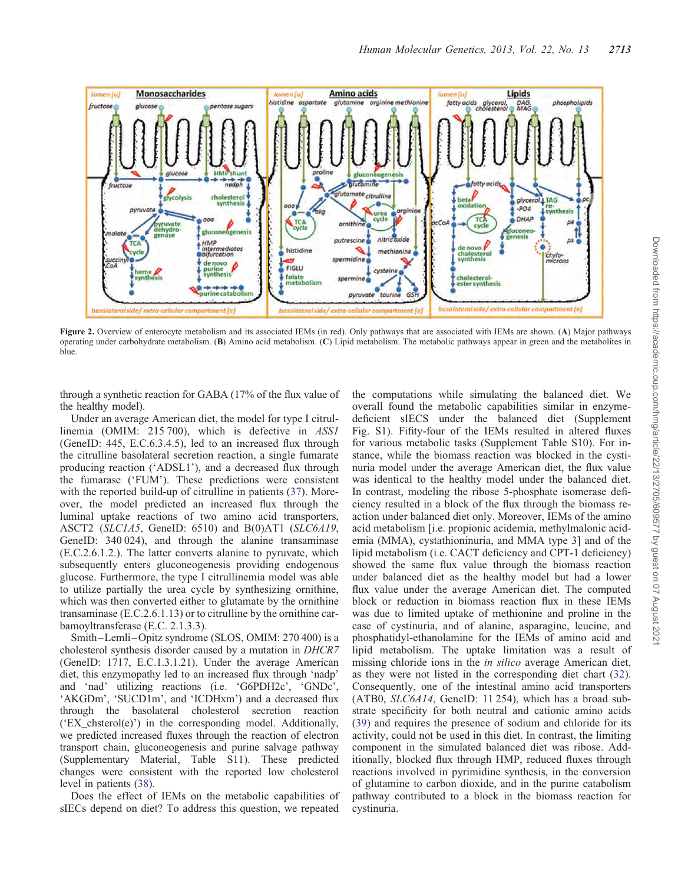

Figure 2. Overview of enterocyte metabolism and its associated IEMs (in red). Only pathways that are associated with IEMs are shown. (A) Major pathways operating under carbohydrate metabolism. (B) Amino acid metabolism. (C) Lipid metabolism. The metabolic pathways appear in green and the metabolites in blue.

through a synthetic reaction for GABA (17% of the flux value of the healthy model).

Under an average American diet, the model for type I citrullinemia (OMIM: 215 700), which is defective in *ASS1* (GeneID: 445, E.C.6.3.4.5), led to an increased flux through the citrulline basolateral secretion reaction, a single fumarate producing reaction ('ADSL1'), and a decreased flux through the fumarase ('FUM'). These predictions were consistent with the reported build-up of citrulline in patients (37). Moreover, the model predicted an increased flux through the luminal uptake reactions of two amino acid transporters, ASCT2 (*SLC1A5*, GeneID: 6510) and B(0)AT1 (*SLC6A19*, GeneID: 340 024), and through the alanine transaminase (E.C.2.6.1.2.). The latter converts alanine to pyruvate, which subsequently enters gluconeogenesis providing endogenous glucose. Furthermore, the type I citrullinemia model was able to utilize partially the urea cycle by synthesizing ornithine, which was then converted either to glutamate by the ornithine transaminase (E.C.2.6.1.13) or to citrulline by the ornithine carbamoyltransferase (E.C. 2.1.3.3).

Smith–Lemli–Opitz syndrome (SLOS, OMIM: 270 400) is a cholesterol synthesis disorder caused by a mutation in *DHCR7* (GeneID: 1717, E.C.1.3.1.21). Under the average American diet, this enzymopathy led to an increased flux through 'nadp' and 'nad' utilizing reactions (i.e. 'G6PDH2c', 'GNDc', 'AKGDm', 'SUCD1m', and 'ICDHxm') and a decreased flux through the basolateral cholesterol secretion reaction  $(EX \text{}'$ chsterol $(e)$ ) in the corresponding model. Additionally, we predicted increased fluxes through the reaction of electron transport chain, gluconeogenesis and purine salvage pathway (Supplementary Material, Table S11). These predicted changes were consistent with the reported low cholesterol level in patients (38).

Does the effect of IEMs on the metabolic capabilities of sIECs depend on diet? To address this question, we repeated

the computations while simulating the balanced diet. We overall found the metabolic capabilities similar in enzymedeficient sIECS under the balanced diet (Supplement Fig. S1). Fifity-four of the IEMs resulted in altered fluxes for various metabolic tasks (Supplement Table S10). For instance, while the biomass reaction was blocked in the cystinuria model under the average American diet, the flux value was identical to the healthy model under the balanced diet. In contrast, modeling the ribose 5-phosphate isomerase deficiency resulted in a block of the flux through the biomass reaction under balanced diet only. Moreover, IEMs of the amino acid metabolism [i.e. propionic acidemia, methylmalonic acidemia (MMA), cystathioninuria, and MMA type 3] and of the lipid metabolism (i.e. CACT deficiency and CPT-1 deficiency) showed the same flux value through the biomass reaction under balanced diet as the healthy model but had a lower flux value under the average American diet. The computed block or reduction in biomass reaction flux in these IEMs was due to limited uptake of methionine and proline in the case of cystinuria, and of alanine, asparagine, leucine, and phosphatidyl-ethanolamine for the IEMs of amino acid and lipid metabolism. The uptake limitation was a result of missing chloride ions in the *in silico* average American diet, as they were not listed in the corresponding diet chart (32). Consequently, one of the intestinal amino acid transporters (ATB0, *SLC6A14*, GeneID: 11 254), which has a broad substrate specificity for both neutral and cationic amino acids (39) and requires the presence of sodium and chloride for its activity, could not be used in this diet. In contrast, the limiting component in the simulated balanced diet was ribose. Additionally, blocked flux through HMP, reduced fluxes through reactions involved in pyrimidine synthesis, in the conversion of glutamine to carbon dioxide, and in the purine catabolism pathway contributed to a block in the biomass reaction for cystinuria.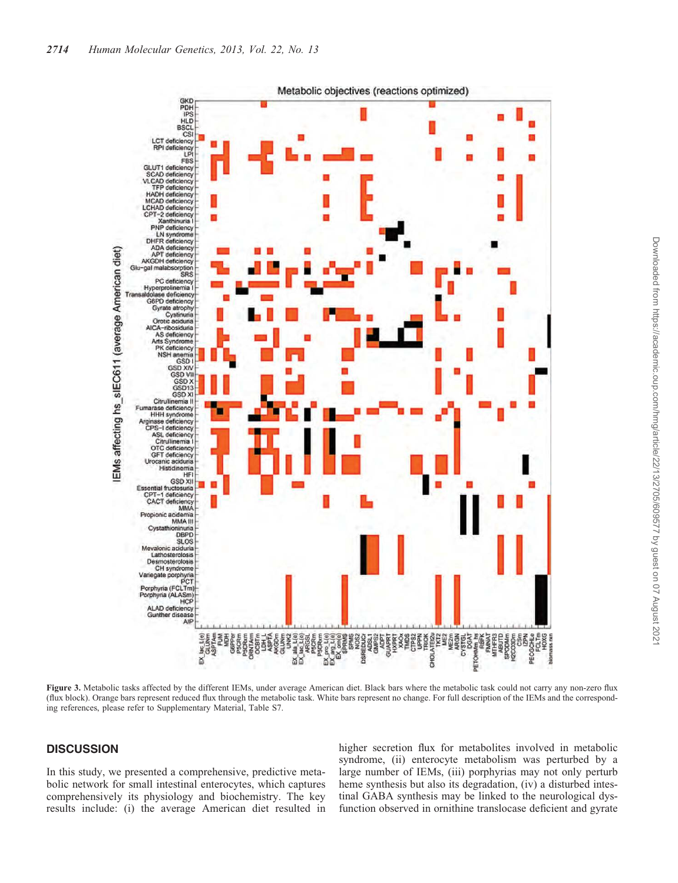

Figure 3. Metabolic tasks affected by the different IEMs, under average American diet. Black bars where the metabolic task could not carry any non-zero flux (flux block). Orange bars represent reduced flux through the metabolic task. White bars represent no change. For full description of the IEMs and the corresponding references, please refer to Supplementary Material, Table S7.

# **DISCUSSION**

In this study, we presented a comprehensive, predictive metabolic network for small intestinal enterocytes, which captures comprehensively its physiology and biochemistry. The key results include: (i) the average American diet resulted in

higher secretion flux for metabolites involved in metabolic syndrome, (ii) enterocyte metabolism was perturbed by a large number of IEMs, (iii) porphyrias may not only perturb heme synthesis but also its degradation, (iv) a disturbed intestinal GABA synthesis may be linked to the neurological dysfunction observed in ornithine translocase deficient and gyrate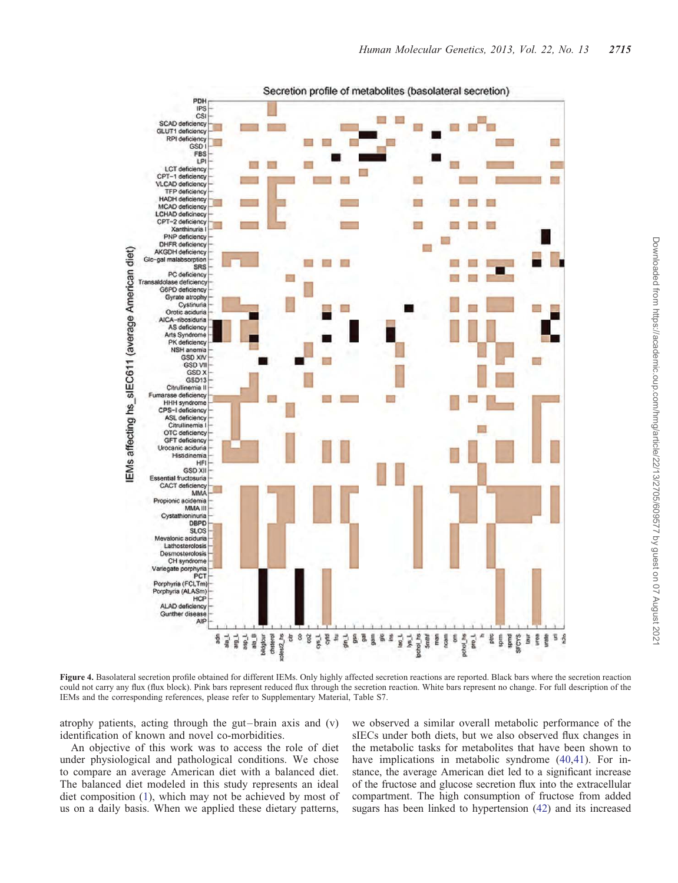

Figure 4. Basolateral secretion profile obtained for different IEMs. Only highly affected secretion reactions are reported. Black bars where the secretion reaction could not carry any flux (flux block). Pink bars represent reduced flux through the secretion reaction. White bars represent no change. For full description of the IEMs and the corresponding references, please refer to Supplementary Material, Table S7.

atrophy patients, acting through the gut-brain axis and  $(v)$ identification of known and novel co-morbidities.

An objective of this work was to access the role of diet under physiological and pathological conditions. We chose to compare an average American diet with a balanced diet. The balanced diet modeled in this study represents an ideal diet composition (1), which may not be achieved by most of us on a daily basis. When we applied these dietary patterns,

we observed a similar overall metabolic performance of the sIECs under both diets, but we also observed flux changes in the metabolic tasks for metabolites that have been shown to have implications in metabolic syndrome (40,41). For instance, the average American diet led to a significant increase of the fructose and glucose secretion flux into the extracellular compartment. The high consumption of fructose from added sugars has been linked to hypertension (42) and its increased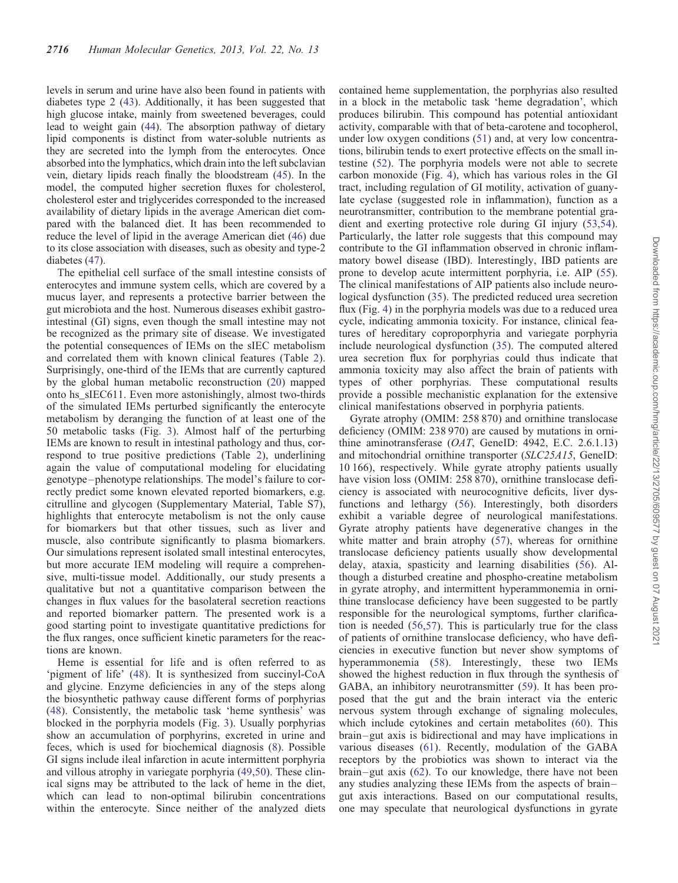levels in serum and urine have also been found in patients with diabetes type 2 (43). Additionally, it has been suggested that high glucose intake, mainly from sweetened beverages, could lead to weight gain (44). The absorption pathway of dietary lipid components is distinct from water-soluble nutrients as they are secreted into the lymph from the enterocytes. Once absorbed into the lymphatics, which drain into the left subclavian vein, dietary lipids reach finally the bloodstream (45). In the model, the computed higher secretion fluxes for cholesterol, cholesterol ester and triglycerides corresponded to the increased availability of dietary lipids in the average American diet compared with the balanced diet. It has been recommended to reduce the level of lipid in the average American diet (46) due to its close association with diseases, such as obesity and type-2 diabetes (47).

The epithelial cell surface of the small intestine consists of enterocytes and immune system cells, which are covered by a mucus layer, and represents a protective barrier between the gut microbiota and the host. Numerous diseases exhibit gastrointestinal (GI) signs, even though the small intestine may not be recognized as the primary site of disease. We investigated the potential consequences of IEMs on the sIEC metabolism and correlated them with known clinical features (Table 2). Surprisingly, one-third of the IEMs that are currently captured by the global human metabolic reconstruction (20) mapped onto hs\_sIEC611. Even more astonishingly, almost two-thirds of the simulated IEMs perturbed significantly the enterocyte metabolism by deranging the function of at least one of the 50 metabolic tasks (Fig. 3). Almost half of the perturbing IEMs are known to result in intestinal pathology and thus, correspond to true positive predictions (Table 2), underlining again the value of computational modeling for elucidating genotype – phenotype relationships. The model's failure to correctly predict some known elevated reported biomarkers, e.g. citrulline and glycogen (Supplementary Material, Table S7), highlights that enterocyte metabolism is not the only cause for biomarkers but that other tissues, such as liver and muscle, also contribute significantly to plasma biomarkers. Our simulations represent isolated small intestinal enterocytes, but more accurate IEM modeling will require a comprehensive, multi-tissue model. Additionally, our study presents a qualitative but not a quantitative comparison between the changes in flux values for the basolateral secretion reactions and reported biomarker pattern. The presented work is a good starting point to investigate quantitative predictions for the flux ranges, once sufficient kinetic parameters for the reactions are known.

Heme is essential for life and is often referred to as 'pigment of life' (48). It is synthesized from succinyl-CoA and glycine. Enzyme deficiencies in any of the steps along the biosynthetic pathway cause different forms of porphyrias (48). Consistently, the metabolic task 'heme synthesis' was blocked in the porphyria models (Fig. 3). Usually porphyrias show an accumulation of porphyrins, excreted in urine and feces, which is used for biochemical diagnosis (8). Possible GI signs include ileal infarction in acute intermittent porphyria and villous atrophy in variegate porphyria (49,50). These clinical signs may be attributed to the lack of heme in the diet, which can lead to non-optimal bilirubin concentrations within the enterocyte. Since neither of the analyzed diets

contained heme supplementation, the porphyrias also resulted in a block in the metabolic task 'heme degradation', which produces bilirubin. This compound has potential antioxidant activity, comparable with that of beta-carotene and tocopherol, under low oxygen conditions (51) and, at very low concentrations, bilirubin tends to exert protective effects on the small intestine (52). The porphyria models were not able to secrete carbon monoxide (Fig. 4), which has various roles in the GI tract, including regulation of GI motility, activation of guanylate cyclase (suggested role in inflammation), function as a neurotransmitter, contribution to the membrane potential gradient and exerting protective role during GI injury (53,54). Particularly, the latter role suggests that this compound may contribute to the GI inflammation observed in chronic inflammatory bowel disease (IBD). Interestingly, IBD patients are prone to develop acute intermittent porphyria, i.e. AIP (55). The clinical manifestations of AIP patients also include neurological dysfunction (35). The predicted reduced urea secretion flux (Fig. 4) in the porphyria models was due to a reduced urea cycle, indicating ammonia toxicity. For instance, clinical features of hereditary coproporphyria and variegate porphyria include neurological dysfunction (35). The computed altered urea secretion flux for porphyrias could thus indicate that ammonia toxicity may also affect the brain of patients with types of other porphyrias. These computational results provide a possible mechanistic explanation for the extensive clinical manifestations observed in porphyria patients.

Gyrate atrophy (OMIM: 258 870) and ornithine translocase deficiency (OMIM: 238 970) are caused by mutations in ornithine aminotransferase (*OAT*, GeneID: 4942, E.C. 2.6.1.13) and mitochondrial ornithine transporter (*SLC25A15*, GeneID: 10 166), respectively. While gyrate atrophy patients usually have vision loss (OMIM: 258 870), ornithine translocase deficiency is associated with neurocognitive deficits, liver dysfunctions and lethargy (56). Interestingly, both disorders exhibit a variable degree of neurological manifestations. Gyrate atrophy patients have degenerative changes in the white matter and brain atrophy (57), whereas for ornithine translocase deficiency patients usually show developmental delay, ataxia, spasticity and learning disabilities (56). Although a disturbed creatine and phospho-creatine metabolism in gyrate atrophy, and intermittent hyperammonemia in ornithine translocase deficiency have been suggested to be partly responsible for the neurological symptoms, further clarification is needed (56,57). This is particularly true for the class of patients of ornithine translocase deficiency, who have deficiencies in executive function but never show symptoms of hyperammonemia (58). Interestingly, these two IEMs showed the highest reduction in flux through the synthesis of GABA, an inhibitory neurotransmitter (59). It has been proposed that the gut and the brain interact via the enteric nervous system through exchange of signaling molecules, which include cytokines and certain metabolites (60). This brain– gut axis is bidirectional and may have implications in various diseases (61). Recently, modulation of the GABA receptors by the probiotics was shown to interact via the brain–gut axis  $(62)$ . To our knowledge, there have not been any studies analyzing these IEMs from the aspects of brain– gut axis interactions. Based on our computational results, one may speculate that neurological dysfunctions in gyrate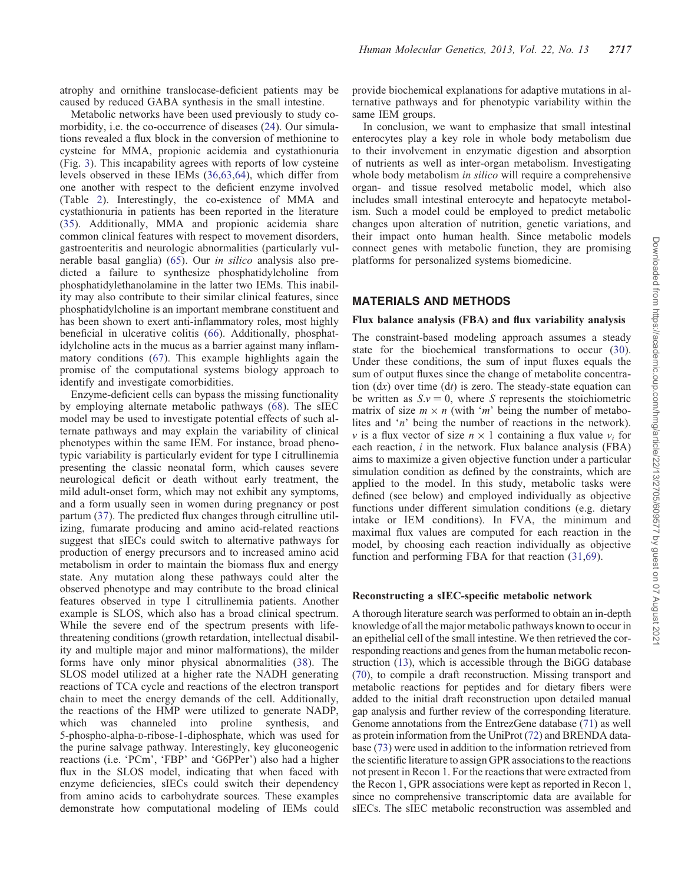atrophy and ornithine translocase-deficient patients may be caused by reduced GABA synthesis in the small intestine.

Metabolic networks have been used previously to study comorbidity, i.e. the co-occurrence of diseases (24). Our simulations revealed a flux block in the conversion of methionine to cysteine for MMA, propionic acidemia and cystathionuria (Fig. 3). This incapability agrees with reports of low cysteine levels observed in these IEMs (36,63,64), which differ from one another with respect to the deficient enzyme involved (Table 2). Interestingly, the co-existence of MMA and cystathionuria in patients has been reported in the literature (35). Additionally, MMA and propionic acidemia share common clinical features with respect to movement disorders, gastroenteritis and neurologic abnormalities (particularly vulnerable basal ganglia) (65). Our *in silico* analysis also predicted a failure to synthesize phosphatidylcholine from phosphatidylethanolamine in the latter two IEMs. This inability may also contribute to their similar clinical features, since phosphatidylcholine is an important membrane constituent and has been shown to exert anti-inflammatory roles, most highly beneficial in ulcerative colitis (66). Additionally, phosphatidylcholine acts in the mucus as a barrier against many inflammatory conditions (67). This example highlights again the promise of the computational systems biology approach to identify and investigate comorbidities.

Enzyme-deficient cells can bypass the missing functionality by employing alternate metabolic pathways (68). The sIEC model may be used to investigate potential effects of such alternate pathways and may explain the variability of clinical phenotypes within the same IEM. For instance, broad phenotypic variability is particularly evident for type I citrullinemia presenting the classic neonatal form, which causes severe neurological deficit or death without early treatment, the mild adult-onset form, which may not exhibit any symptoms, and a form usually seen in women during pregnancy or post partum (37). The predicted flux changes through citrulline utilizing, fumarate producing and amino acid-related reactions suggest that sIECs could switch to alternative pathways for production of energy precursors and to increased amino acid metabolism in order to maintain the biomass flux and energy state. Any mutation along these pathways could alter the observed phenotype and may contribute to the broad clinical features observed in type I citrullinemia patients. Another example is SLOS, which also has a broad clinical spectrum. While the severe end of the spectrum presents with lifethreatening conditions (growth retardation, intellectual disability and multiple major and minor malformations), the milder forms have only minor physical abnormalities (38). The SLOS model utilized at a higher rate the NADH generating reactions of TCA cycle and reactions of the electron transport chain to meet the energy demands of the cell. Additionally, the reactions of the HMP were utilized to generate NADP, which was channeled into proline synthesis, and 5-phospho-alpha-D-ribose-1-diphosphate, which was used for the purine salvage pathway. Interestingly, key gluconeogenic reactions (i.e. 'PCm', 'FBP' and 'G6PPer') also had a higher flux in the SLOS model, indicating that when faced with enzyme deficiencies, sIECs could switch their dependency from amino acids to carbohydrate sources. These examples demonstrate how computational modeling of IEMs could

provide biochemical explanations for adaptive mutations in alternative pathways and for phenotypic variability within the same IEM groups.

In conclusion, we want to emphasize that small intestinal enterocytes play a key role in whole body metabolism due to their involvement in enzymatic digestion and absorption of nutrients as well as inter-organ metabolism. Investigating whole body metabolism *in silico* will require a comprehensive organ- and tissue resolved metabolic model, which also includes small intestinal enterocyte and hepatocyte metabolism. Such a model could be employed to predict metabolic changes upon alteration of nutrition, genetic variations, and their impact onto human health. Since metabolic models connect genes with metabolic function, they are promising platforms for personalized systems biomedicine.

## MATERIALS AND METHODS

#### Flux balance analysis (FBA) and flux variability analysis

The constraint-based modeling approach assumes a steady state for the biochemical transformations to occur (30). Under these conditions, the sum of input fluxes equals the sum of output fluxes since the change of metabolite concentration (d*x*) over time (d*t*) is zero. The steady-state equation can be written as  $S_v = 0$ , where *S* represents the stoichiometric matrix of size  $m \times n$  (with 'm' being the number of metabolites and '*n*' being the number of reactions in the network). *v* is a flux vector of size  $n \times 1$  containing a flux value  $v_i$  for each reaction, *i* in the network. Flux balance analysis (FBA) aims to maximize a given objective function under a particular simulation condition as defined by the constraints, which are applied to the model. In this study, metabolic tasks were defined (see below) and employed individually as objective functions under different simulation conditions (e.g. dietary intake or IEM conditions). In FVA, the minimum and maximal flux values are computed for each reaction in the model, by choosing each reaction individually as objective function and performing FBA for that reaction (31,69).

#### Reconstructing a sIEC-specific metabolic network

A thorough literature search was performed to obtain an in-depth knowledge of all the major metabolic pathways known to occur in an epithelial cell of the small intestine. We then retrieved the corresponding reactions and genes from the human metabolic reconstruction (13), which is accessible through the BiGG database (70), to compile a draft reconstruction. Missing transport and metabolic reactions for peptides and for dietary fibers were added to the initial draft reconstruction upon detailed manual gap analysis and further review of the corresponding literature. Genome annotations from the EntrezGene database (71) as well as protein information from the UniProt (72) and BRENDA database (73) were used in addition to the information retrieved from the scientific literature to assign GPR associations to the reactions not present in Recon 1. For the reactions that were extracted from the Recon 1, GPR associations were kept as reported in Recon 1, since no comprehensive transcriptomic data are available for sIECs. The sIEC metabolic reconstruction was assembled and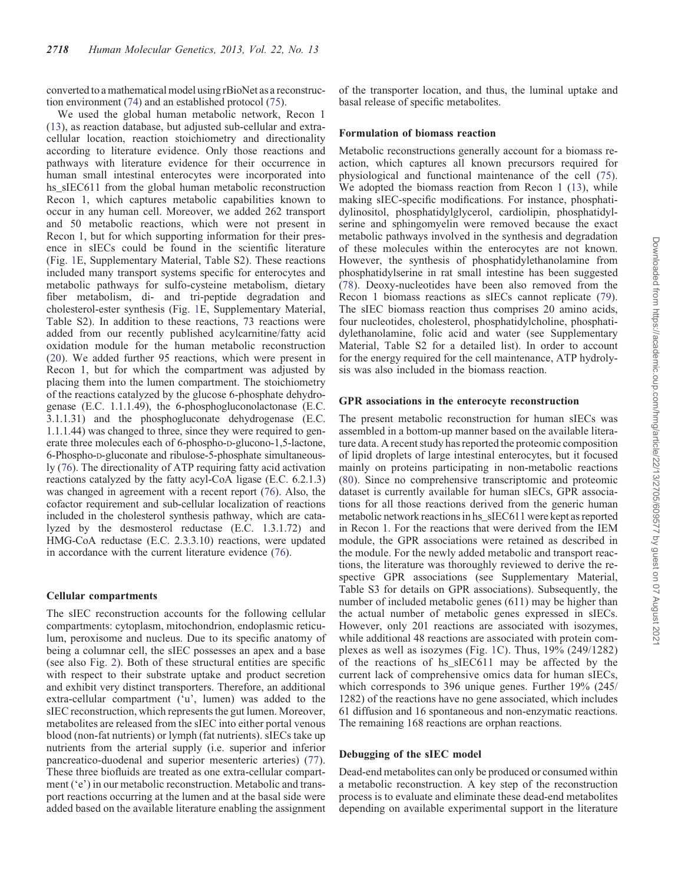converted to a mathematical model using rBioNet as a reconstruction environment (74) and an established protocol (75).

We used the global human metabolic network, Recon 1 (13), as reaction database, but adjusted sub-cellular and extracellular location, reaction stoichiometry and directionality according to literature evidence. Only those reactions and pathways with literature evidence for their occurrence in human small intestinal enterocytes were incorporated into hs\_sIEC611 from the global human metabolic reconstruction Recon 1, which captures metabolic capabilities known to occur in any human cell. Moreover, we added 262 transport and 50 metabolic reactions, which were not present in Recon 1, but for which supporting information for their presence in sIECs could be found in the scientific literature (Fig. 1E, Supplementary Material, Table S2). These reactions included many transport systems specific for enterocytes and metabolic pathways for sulfo-cysteine metabolism, dietary fiber metabolism, di- and tri-peptide degradation and cholesterol-ester synthesis (Fig. 1E, Supplementary Material, Table S2). In addition to these reactions, 73 reactions were added from our recently published acylcarnitine/fatty acid oxidation module for the human metabolic reconstruction (20). We added further 95 reactions, which were present in Recon 1, but for which the compartment was adjusted by placing them into the lumen compartment. The stoichiometry of the reactions catalyzed by the glucose 6-phosphate dehydrogenase (E.C. 1.1.1.49), the 6-phosphogluconolactonase (E.C. 3.1.1.31) and the phosphogluconate dehydrogenase (E.C. 1.1.1.44) was changed to three, since they were required to generate three molecules each of 6-phospho-D-glucono-1,5-lactone, 6-Phospho-D-gluconate and ribulose-5-phosphate simultaneously (76). The directionality of ATP requiring fatty acid activation reactions catalyzed by the fatty acyl-CoA ligase (E.C. 6.2.1.3) was changed in agreement with a recent report (76). Also, the cofactor requirement and sub-cellular localization of reactions included in the cholesterol synthesis pathway, which are catalyzed by the desmosterol reductase (E.C. 1.3.1.72) and HMG-CoA reductase (E.C. 2.3.3.10) reactions, were updated in accordance with the current literature evidence (76).

#### Cellular compartments

The sIEC reconstruction accounts for the following cellular compartments: cytoplasm, mitochondrion, endoplasmic reticulum, peroxisome and nucleus. Due to its specific anatomy of being a columnar cell, the sIEC possesses an apex and a base (see also Fig. 2). Both of these structural entities are specific with respect to their substrate uptake and product secretion and exhibit very distinct transporters. Therefore, an additional extra-cellular compartment ('u', lumen) was added to the sIEC reconstruction, which represents the gut lumen. Moreover, metabolites are released from the sIEC into either portal venous blood (non-fat nutrients) or lymph (fat nutrients). sIECs take up nutrients from the arterial supply (i.e. superior and inferior pancreatico-duodenal and superior mesenteric arteries) (77). These three biofluids are treated as one extra-cellular compartment ('e') in our metabolic reconstruction. Metabolic and transport reactions occurring at the lumen and at the basal side were added based on the available literature enabling the assignment

of the transporter location, and thus, the luminal uptake and basal release of specific metabolites.

#### Formulation of biomass reaction

Metabolic reconstructions generally account for a biomass reaction, which captures all known precursors required for physiological and functional maintenance of the cell (75). We adopted the biomass reaction from Recon 1 (13), while making sIEC-specific modifications. For instance, phosphatidylinositol, phosphatidylglycerol, cardiolipin, phosphatidylserine and sphingomyelin were removed because the exact metabolic pathways involved in the synthesis and degradation of these molecules within the enterocytes are not known. However, the synthesis of phosphatidylethanolamine from phosphatidylserine in rat small intestine has been suggested (78). Deoxy-nucleotides have been also removed from the Recon 1 biomass reactions as sIECs cannot replicate (79). The sIEC biomass reaction thus comprises 20 amino acids, four nucleotides, cholesterol, phosphatidylcholine, phosphatidylethanolamine, folic acid and water (see Supplementary Material, Table S2 for a detailed list). In order to account for the energy required for the cell maintenance, ATP hydrolysis was also included in the biomass reaction.

#### GPR associations in the enterocyte reconstruction

The present metabolic reconstruction for human sIECs was assembled in a bottom-up manner based on the available literature data. A recent study has reported the proteomic composition of lipid droplets of large intestinal enterocytes, but it focused mainly on proteins participating in non-metabolic reactions (80). Since no comprehensive transcriptomic and proteomic dataset is currently available for human sIECs, GPR associations for all those reactions derived from the generic human metabolic network reactions in hs\_sIEC611 were kept as reported in Recon 1. For the reactions that were derived from the IEM module, the GPR associations were retained as described in the module. For the newly added metabolic and transport reactions, the literature was thoroughly reviewed to derive the respective GPR associations (see Supplementary Material, Table S3 for details on GPR associations). Subsequently, the number of included metabolic genes (611) may be higher than the actual number of metabolic genes expressed in sIECs. However, only 201 reactions are associated with isozymes, while additional 48 reactions are associated with protein complexes as well as isozymes (Fig. 1C). Thus, 19% (249/1282) of the reactions of hs\_sIEC611 may be affected by the current lack of comprehensive omics data for human sIECs, which corresponds to 396 unique genes. Further 19% (245/ 1282) of the reactions have no gene associated, which includes 61 diffusion and 16 spontaneous and non-enzymatic reactions. The remaining 168 reactions are orphan reactions.

#### Debugging of the sIEC model

Dead-end metabolites can only be produced or consumed within a metabolic reconstruction. A key step of the reconstruction process is to evaluate and eliminate these dead-end metabolites depending on available experimental support in the literature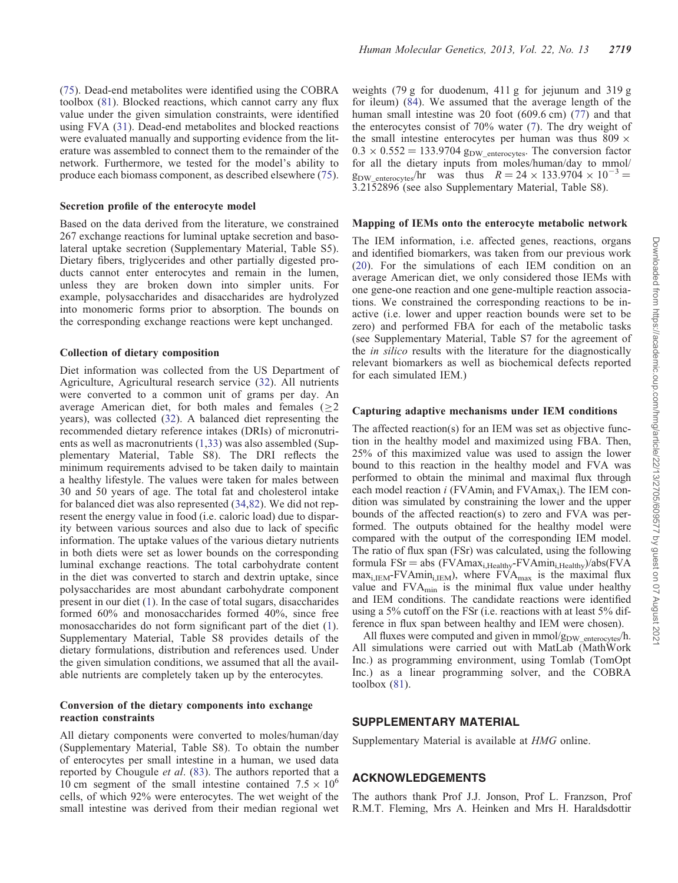(75). Dead-end metabolites were identified using the COBRA toolbox (81). Blocked reactions, which cannot carry any flux value under the given simulation constraints, were identified using FVA (31). Dead-end metabolites and blocked reactions were evaluated manually and supporting evidence from the literature was assembled to connect them to the remainder of the network. Furthermore, we tested for the model's ability to produce each biomass component, as described elsewhere (75).

#### Secretion profile of the enterocyte model

Based on the data derived from the literature, we constrained 267 exchange reactions for luminal uptake secretion and basolateral uptake secretion (Supplementary Material, Table S5). Dietary fibers, triglycerides and other partially digested products cannot enter enterocytes and remain in the lumen, unless they are broken down into simpler units. For example, polysaccharides and disaccharides are hydrolyzed into monomeric forms prior to absorption. The bounds on the corresponding exchange reactions were kept unchanged.

#### Collection of dietary composition

Diet information was collected from the US Department of Agriculture, Agricultural research service (32). All nutrients were converted to a common unit of grams per day. An average American diet, for both males and females ( $\geq 2$ years), was collected (32). A balanced diet representing the recommended dietary reference intakes (DRIs) of micronutrients as well as macronutrients (1,33) was also assembled (Supplementary Material, Table S8). The DRI reflects the minimum requirements advised to be taken daily to maintain a healthy lifestyle. The values were taken for males between 30 and 50 years of age. The total fat and cholesterol intake for balanced diet was also represented (34,82). We did not represent the energy value in food (i.e. caloric load) due to disparity between various sources and also due to lack of specific information. The uptake values of the various dietary nutrients in both diets were set as lower bounds on the corresponding luminal exchange reactions. The total carbohydrate content in the diet was converted to starch and dextrin uptake, since polysaccharides are most abundant carbohydrate component present in our diet (1). In the case of total sugars, disaccharides formed 60% and monosaccharides formed 40%, since free monosaccharides do not form significant part of the diet (1). Supplementary Material, Table S8 provides details of the dietary formulations, distribution and references used. Under the given simulation conditions, we assumed that all the available nutrients are completely taken up by the enterocytes.

#### Conversion of the dietary components into exchange reaction constraints

All dietary components were converted to moles/human/day (Supplementary Material, Table S8). To obtain the number of enterocytes per small intestine in a human, we used data reported by Chougule *et al*. (83). The authors reported that a 10 cm segment of the small intestine contained  $7.5 \times 10^6$ cells, of which 92% were enterocytes. The wet weight of the small intestine was derived from their median regional wet

weights (79 g for duodenum, 411 g for jejunum and 319 g for ileum) (84). We assumed that the average length of the human small intestine was 20 foot (609.6 cm) (77) and that the enterocytes consist of 70% water (7). The dry weight of the small intestine enterocytes per human was thus 809  $\times$  $0.3 \times 0.552 = 133.9704$  g<sub>DW</sub> enterocytes. The conversion factor for all the dietary inputs from moles/human/day to mmol/  $g_{DW_{\text{enterocytes}}/hr}$  was thus  $R = 24 \times 133.9704 \times 10^{-3} =$ 3.2152896 (see also Supplementary Material, Table S8).

#### Mapping of IEMs onto the enterocyte metabolic network

The IEM information, i.e. affected genes, reactions, organs and identified biomarkers, was taken from our previous work (20). For the simulations of each IEM condition on an average American diet, we only considered those IEMs with one gene-one reaction and one gene-multiple reaction associations. We constrained the corresponding reactions to be inactive (i.e. lower and upper reaction bounds were set to be zero) and performed FBA for each of the metabolic tasks (see Supplementary Material, Table S7 for the agreement of the *in silico* results with the literature for the diagnostically relevant biomarkers as well as biochemical defects reported for each simulated IEM.)

#### Capturing adaptive mechanisms under IEM conditions

The affected reaction(s) for an IEM was set as objective function in the healthy model and maximized using FBA. Then, 25% of this maximized value was used to assign the lower bound to this reaction in the healthy model and FVA was performed to obtain the minimal and maximal flux through each model reaction *i* (FVAmin<sub>i</sub> and FVAmax<sub>i</sub>). The IEM condition was simulated by constraining the lower and the upper bounds of the affected reaction(s) to zero and FVA was performed. The outputs obtained for the healthy model were compared with the output of the corresponding IEM model. The ratio of flux span (FSr) was calculated, using the following formula  $FSr = abs$  (FVAmax<sub>i,Healthy</sub>-FVAmin<sub>i,Healthy</sub>)/abs(FVA  $max_{i, IEM}$ -FVAmin<sub>i,IEM</sub>), where FVA<sub>max</sub> is the maximal flux value and  $FVA_{min}$  is the minimal flux value under healthy and IEM conditions. The candidate reactions were identified using a 5% cutoff on the FSr (i.e. reactions with at least 5% difference in flux span between healthy and IEM were chosen).

All fluxes were computed and given in  $mmol/g_{DW_{\text{enterocytes}}}/h$ . All simulations were carried out with MatLab (MathWork Inc.) as programming environment, using Tomlab (TomOpt Inc.) as a linear programming solver, and the COBRA toolbox  $(81)$ .

## SUPPLEMENTARY MATERIAL

Supplementary Material is available at *HMG* online.

# ACKNOWLEDGEMENTS

The authors thank Prof J.J. Jonson, Prof L. Franzson, Prof R.M.T. Fleming, Mrs A. Heinken and Mrs H. Haraldsdottir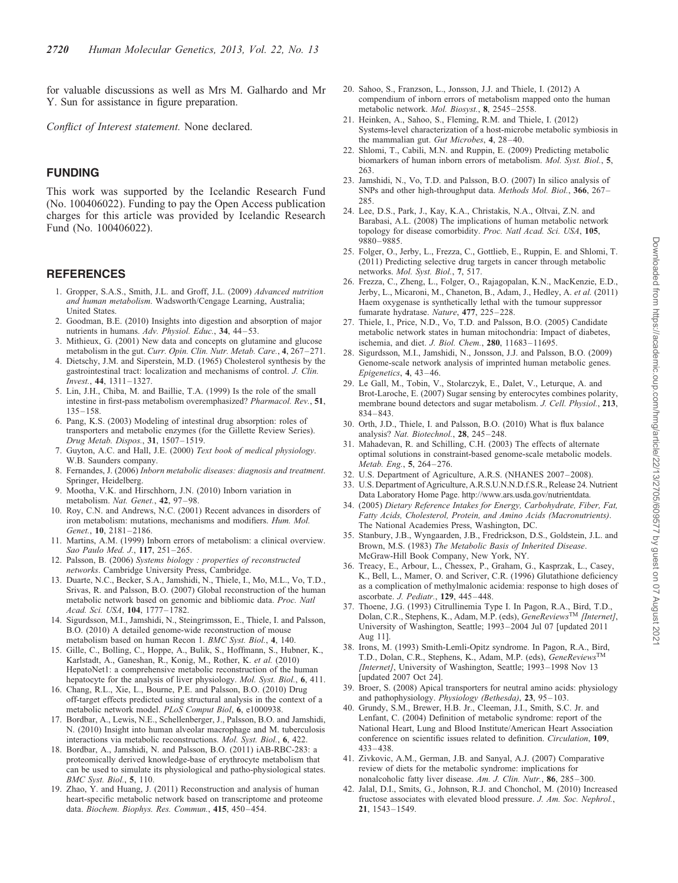for valuable discussions as well as Mrs M. Galhardo and Mr Y. Sun for assistance in figure preparation.

*Conflict of Interest statement.* None declared.

#### FUNDING

This work was supported by the Icelandic Research Fund (No. 100406022). Funding to pay the Open Access publication charges for this article was provided by Icelandic Research Fund (No. 100406022).

#### **REFERENCES**

- 1. Gropper, S.A.S., Smith, J.L. and Groff, J.L. (2009) *Advanced nutrition and human metabolism*. Wadsworth/Cengage Learning, Australia; United States.
- 2. Goodman, B.E. (2010) Insights into digestion and absorption of major nutrients in humans. Adv. Physiol. Educ., 34, 44-53.
- 3. Mithieux, G. (2001) New data and concepts on glutamine and glucose metabolism in the gut. *Curr. Opin. Clin. Nutr. Metab. Care.*, 4, 267–271.
- 4. Dietschy, J.M. and Siperstein, M.D. (1965) Cholesterol synthesis by the gastrointestinal tract: localization and mechanisms of control. *J. Clin. Invest.*, 44, 1311–1327.
- 5. Lin, J.H., Chiba, M. and Baillie, T.A. (1999) Is the role of the small intestine in first-pass metabolism overemphasized? *Pharmacol. Rev.*, 51, 135– 158.
- 6. Pang, K.S. (2003) Modeling of intestinal drug absorption: roles of transporters and metabolic enzymes (for the Gillette Review Series). *Drug Metab. Dispos.*, 31, 1507– 1519.
- 7. Guyton, A.C. and Hall, J.E. (2000) *Text book of medical physiology*. W.B. Saunders company.
- 8. Fernandes, J. (2006) *Inborn metabolic diseases: diagnosis and treatment*. Springer, Heidelberg.
- 9. Mootha, V.K. and Hirschhorn, J.N. (2010) Inborn variation in metabolism. *Nat. Genet.*, 42, 97–98.
- 10. Roy, C.N. and Andrews, N.C. (2001) Recent advances in disorders of iron metabolism: mutations, mechanisms and modifiers. *Hum. Mol. Genet.*, 10, 2181–2186.
- 11. Martins, A.M. (1999) Inborn errors of metabolism: a clinical overview. *Sao Paulo Med. J.*, 117, 251–265.
- 12. Palsson, B. (2006) *Systems biology : properties of reconstructed networks*. Cambridge University Press, Cambridge.
- 13. Duarte, N.C., Becker, S.A., Jamshidi, N., Thiele, I., Mo, M.L., Vo, T.D., Srivas, R. and Palsson, B.O. (2007) Global reconstruction of the human metabolic network based on genomic and bibliomic data. *Proc. Natl Acad. Sci. USA*, 104, 1777– 1782.
- 14. Sigurdsson, M.I., Jamshidi, N., Steingrimsson, E., Thiele, I. and Palsson, B.O. (2010) A detailed genome-wide reconstruction of mouse metabolism based on human Recon 1. *BMC Syst. Biol.*, 4, 140.
- 15. Gille, C., Bolling, C., Hoppe, A., Bulik, S., Hoffmann, S., Hubner, K., Karlstadt, A., Ganeshan, R., Konig, M., Rother, K. *et al.* (2010) HepatoNet1: a comprehensive metabolic reconstruction of the human hepatocyte for the analysis of liver physiology. *Mol. Syst. Biol.*, 6, 411.
- 16. Chang, R.L., Xie, L., Bourne, P.E. and Palsson, B.O. (2010) Drug off-target effects predicted using structural analysis in the context of a metabolic network model. *PLoS Comput Biol*, 6, e1000938.
- 17. Bordbar, A., Lewis, N.E., Schellenberger, J., Palsson, B.O. and Jamshidi, N. (2010) Insight into human alveolar macrophage and M. tuberculosis interactions via metabolic reconstructions. *Mol. Syst. Biol.*, 6, 422.
- 18. Bordbar, A., Jamshidi, N. and Palsson, B.O. (2011) iAB-RBC-283: a proteomically derived knowledge-base of erythrocyte metabolism that can be used to simulate its physiological and patho-physiological states. *BMC Syst. Biol.*, 5, 110.
- 19. Zhao, Y. and Huang, J. (2011) Reconstruction and analysis of human heart-specific metabolic network based on transcriptome and proteome data. *Biochem. Biophys. Res. Commun.*, 415, 450-454.
- 20. Sahoo, S., Franzson, L., Jonsson, J.J. and Thiele, I. (2012) A compendium of inborn errors of metabolism mapped onto the human metabolic network. *Mol. Biosyst.*, 8, 2545–2558.
- 21. Heinken, A., Sahoo, S., Fleming, R.M. and Thiele, I. (2012) Systems-level characterization of a host-microbe metabolic symbiosis in the mammalian gut. *Gut Microbes*, 4, 28–40.
- 22. Shlomi, T., Cabili, M.N. and Ruppin, E. (2009) Predicting metabolic biomarkers of human inborn errors of metabolism. *Mol. Syst. Biol.*, 5, 263.
- 23. Jamshidi, N., Vo, T.D. and Palsson, B.O. (2007) In silico analysis of SNPs and other high-throughput data. *Methods Mol. Biol.*, 366, 267– 285.
- 24. Lee, D.S., Park, J., Kay, K.A., Christakis, N.A., Oltvai, Z.N. and Barabasi, A.L. (2008) The implications of human metabolic network topology for disease comorbidity. *Proc. Natl Acad. Sci. USA*, 105, 9880– 9885.
- 25. Folger, O., Jerby, L., Frezza, C., Gottlieb, E., Ruppin, E. and Shlomi, T. (2011) Predicting selective drug targets in cancer through metabolic networks. *Mol. Syst. Biol.*, 7, 517.
- 26. Frezza, C., Zheng, L., Folger, O., Rajagopalan, K.N., MacKenzie, E.D., Jerby, L., Micaroni, M., Chaneton, B., Adam, J., Hedley, A. *et al.* (2011) Haem oxygenase is synthetically lethal with the tumour suppressor fumarate hydratase. *Nature*, 477, 225– 228.
- 27. Thiele, I., Price, N.D., Vo, T.D. and Palsson, B.O. (2005) Candidate metabolic network states in human mitochondria: Impact of diabetes, ischemia, and diet. *J. Biol. Chem.*, 280, 11683–11695.
- 28. Sigurdsson, M.I., Jamshidi, N., Jonsson, J.J. and Palsson, B.O. (2009) Genome-scale network analysis of imprinted human metabolic genes. *Epigenetics*, 4, 43–46.
- 29. Le Gall, M., Tobin, V., Stolarczyk, E., Dalet, V., Leturque, A. and Brot-Laroche, E. (2007) Sugar sensing by enterocytes combines polarity, membrane bound detectors and sugar metabolism. *J. Cell. Physiol.*, 213, 834– 843.
- 30. Orth, J.D., Thiele, I. and Palsson, B.O. (2010) What is flux balance analysis? *Nat. Biotechnol.*, 28, 245–248.
- 31. Mahadevan, R. and Schilling, C.H. (2003) The effects of alternate optimal solutions in constraint-based genome-scale metabolic models. *Metab. Eng.*, 5, 264–276.
- 32. U.S. Department of Agriculture, A.R.S. (NHANES 2007–2008).
- 33. U.S. Department of Agriculture, A.R.S.U.N.N.D.f.S.R., Release 24. Nutrient
- Data Laboratory Home Page. http://www.ars.usda.gov/nutrientdata. 34. (2005) *Dietary Reference Intakes for Energy, Carbohydrate, Fiber, Fat, Fatty Acids, Cholesterol, Protein, and Amino Acids (Macronutrients)*. The National Academies Press, Washington, DC.
- 35. Stanbury, J.B., Wyngaarden, J.B., Fredrickson, D.S., Goldstein, J.L. and Brown, M.S. (1983) *The Metabolic Basis of Inherited Disease*. McGraw-Hill Book Company, New York, NY.
- 36. Treacy, E., Arbour, L., Chessex, P., Graham, G., Kasprzak, L., Casey, K., Bell, L., Mamer, O. and Scriver, C.R. (1996) Glutathione deficiency as a complication of methylmalonic acidemia: response to high doses of ascorbate. *J. Pediatr.*, 129, 445–448.
- 37. Thoene, J.G. (1993) Citrullinemia Type I. In Pagon, R.A., Bird, T.D., Dolan, C.R., Stephens, K., Adam, M.P. (eds), *GeneReviews*TM *[Internet]*, University of Washington, Seattle; 1993– 2004 Jul 07 [updated 2011 Aug 11].
- 38. Irons, M. (1993) Smith-Lemli-Opitz syndrome. In Pagon, R.A., Bird, T.D., Dolan, C.R., Stephens, K., Adam, M.P. (eds), *GeneReviews*TM *[Internet]*, University of Washington, Seattle; 1993–1998 Nov 13 [updated 2007 Oct 24].
- 39. Broer, S. (2008) Apical transporters for neutral amino acids: physiology and pathophysiology. *Physiology (Bethesda)*, 23, 95– 103.
- 40. Grundy, S.M., Brewer, H.B. Jr., Cleeman, J.I., Smith, S.C. Jr. and Lenfant, C. (2004) Definition of metabolic syndrome: report of the National Heart, Lung and Blood Institute/American Heart Association conference on scientific issues related to definition. *Circulation*, 109, 433– 438.
- 41. Zivkovic, A.M., German, J.B. and Sanyal, A.J. (2007) Comparative review of diets for the metabolic syndrome: implications for nonalcoholic fatty liver disease. *Am. J. Clin. Nutr.*, 86, 285–300.
- 42. Jalal, D.I., Smits, G., Johnson, R.J. and Chonchol, M. (2010) Increased fructose associates with elevated blood pressure. *J. Am. Soc. Nephrol.*, 21, 1543– 1549.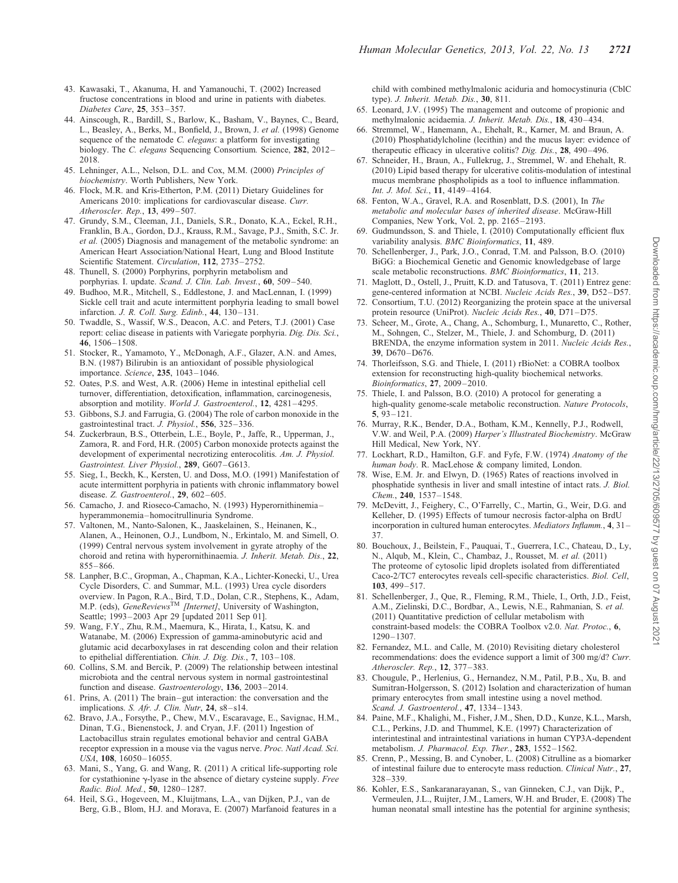- 43. Kawasaki, T., Akanuma, H. and Yamanouchi, T. (2002) Increased fructose concentrations in blood and urine in patients with diabetes. *Diabetes Care*, 25, 353–357.
- 44. Ainscough, R., Bardill, S., Barlow, K., Basham, V., Baynes, C., Beard, L., Beasley, A., Berks, M., Bonfield, J., Brown, J. *et al.* (1998) Genome sequence of the nematode *C. elegans*: a platform for investigating biology. The *C. elegans* Sequencing Consortium*.* Science, 282, 2012– 2018.
- 45. Lehninger, A.L., Nelson, D.L. and Cox, M.M. (2000) *Principles of biochemistry*. Worth Publishers, New York.
- 46. Flock, M.R. and Kris-Etherton, P.M. (2011) Dietary Guidelines for Americans 2010: implications for cardiovascular disease. *Curr. Atheroscler. Rep.*, 13, 499– 507.
- 47. Grundy, S.M., Cleeman, J.I., Daniels, S.R., Donato, K.A., Eckel, R.H., Franklin, B.A., Gordon, D.J., Krauss, R.M., Savage, P.J., Smith, S.C. Jr. *et al.* (2005) Diagnosis and management of the metabolic syndrome: an American Heart Association/National Heart, Lung and Blood Institute Scientific Statement. *Circulation*, 112, 2735–2752.
- 48. Thunell, S. (2000) Porphyrins, porphyrin metabolism and porphyrias. I. update. *Scand. J. Clin. Lab. Invest.*, 60, 509-540.
- 49. Budhoo, M.R., Mitchell, S., Eddlestone, J. and MacLennan, I. (1999) Sickle cell trait and acute intermittent porphyria leading to small bowel infarction. *J. R. Coll. Surg. Edinb.*, 44, 130–131.
- 50. Twaddle, S., Wassif, W.S., Deacon, A.C. and Peters, T.J. (2001) Case report: celiac disease in patients with Variegate porphyria. *Dig. Dis. Sci.*, 46, 1506– 1508.
- 51. Stocker, R., Yamamoto, Y., McDonagh, A.F., Glazer, A.N. and Ames, B.N. (1987) Bilirubin is an antioxidant of possible physiological importance. *Science*, 235, 1043– 1046.
- 52. Oates, P.S. and West, A.R. (2006) Heme in intestinal epithelial cell turnover, differentiation, detoxification, inflammation, carcinogenesis, absorption and motility. *World J. Gastroenterol.*, 12, 4281–4295.
- 53. Gibbons, S.J. and Farrugia, G. (2004) The role of carbon monoxide in the gastrointestinal tract. *J. Physiol.*, 556, 325–336.
- 54. Zuckerbraun, B.S., Otterbein, L.E., Boyle, P., Jaffe, R., Upperman, J., Zamora, R. and Ford, H.R. (2005) Carbon monoxide protects against the development of experimental necrotizing enterocolitis. *Am. J. Physiol. Gastrointest. Liver Physiol.*, 289, G607–G613.
- 55. Sieg, I., Beckh, K., Kersten, U. and Doss, M.O. (1991) Manifestation of acute intermittent porphyria in patients with chronic inflammatory bowel disease. *Z. Gastroenterol.*, **29**, 602-605.
- 56. Camacho, J. and Rioseco-Camacho, N. (1993) Hyperornithinemia– hyperammonemia–homocitrullinuria Syndrome.
- 57. Valtonen, M., Nanto-Salonen, K., Jaaskelainen, S., Heinanen, K., Alanen, A., Heinonen, O.J., Lundbom, N., Erkintalo, M. and Simell, O. (1999) Central nervous system involvement in gyrate atrophy of the choroid and retina with hyperornithinaemia. *J. Inherit. Metab. Dis.*, 22, 855– 866.
- 58. Lanpher, B.C., Gropman, A., Chapman, K.A., Lichter-Konecki, U., Urea Cycle Disorders, C. and Summar, M.L. (1993) Urea cycle disorders overview. In Pagon, R.A., Bird, T.D., Dolan, C.R., Stephens, K., Adam, M.P. (eds), *GeneReviews*TM *[Internet]*, University of Washington, Seattle; 1993– 2003 Apr 29 [updated 2011 Sep 01].
- 59. Wang, F.Y., Zhu, R.M., Maemura, K., Hirata, I., Katsu, K. and Watanabe, M. (2006) Expression of gamma-aminobutyric acid and glutamic acid decarboxylases in rat descending colon and their relation to epithelial differentiation. *Chin. J. Dig. Dis.*, 7, 103–108.
- 60. Collins, S.M. and Bercik, P. (2009) The relationship between intestinal microbiota and the central nervous system in normal gastrointestinal function and disease. *Gastroenterology*, 136, 2003–2014.
- 61. Prins, A. (2011) The brain– gut interaction: the conversation and the implications. *S. Afr. J. Clin. Nutr*, **24**, s8-s14.
- 62. Bravo, J.A., Forsythe, P., Chew, M.V., Escaravage, E., Savignac, H.M., Dinan, T.G., Bienenstock, J. and Cryan, J.F. (2011) Ingestion of Lactobacillus strain regulates emotional behavior and central GABA receptor expression in a mouse via the vagus nerve. *Proc. Natl Acad. Sci. USA*, 108, 16050– 16055.
- 63. Mani, S., Yang, G. and Wang, R. (2011) A critical life-supporting role for cystathionine  $\gamma$ -lyase in the absence of dietary cysteine supply. *Free Radic. Biol. Med.*, 50, 1280– 1287.
- 64. Heil, S.G., Hogeveen, M., Kluijtmans, L.A., van Dijken, P.J., van de Berg, G.B., Blom, H.J. and Morava, E. (2007) Marfanoid features in a

child with combined methylmalonic aciduria and homocystinuria (CblC type). *J. Inherit. Metab. Dis.*, 30, 811.

- 65. Leonard, J.V. (1995) The management and outcome of propionic and methylmalonic acidaemia. *J. Inherit. Metab. Dis.*, 18, 430–434.
- 66. Stremmel, W., Hanemann, A., Ehehalt, R., Karner, M. and Braun, A. (2010) Phosphatidylcholine (lecithin) and the mucus layer: evidence of therapeutic efficacy in ulcerative colitis? *Dig. Dis.*, 28, 490–496.
- 67. Schneider, H., Braun, A., Fullekrug, J., Stremmel, W. and Ehehalt, R. (2010) Lipid based therapy for ulcerative colitis-modulation of intestinal mucus membrane phospholipids as a tool to influence inflammation. *Int. J. Mol. Sci.*, 11, 4149–4164.
- 68. Fenton, W.A., Gravel, R.A. and Rosenblatt, D.S. (2001), In *The metabolic and molecular bases of inherited disease*. McGraw-Hill Companies, New York, Vol. 2, pp. 2165-2193.
- 69. Gudmundsson, S. and Thiele, I. (2010) Computationally efficient flux variability analysis. *BMC Bioinformatics*, 11, 489.
- 70. Schellenberger, J., Park, J.O., Conrad, T.M. and Palsson, B.O. (2010) BiGG: a Biochemical Genetic and Genomic knowledgebase of large scale metabolic reconstructions. *BMC Bioinformatics*, 11, 213.
- 71. Maglott, D., Ostell, J., Pruitt, K.D. and Tatusova, T. (2011) Entrez gene: gene-centered information at NCBI. *Nucleic Acids Res.*, 39, D52–D57.
- 72. Consortium, T.U. (2012) Reorganizing the protein space at the universal protein resource (UniProt). *Nucleic Acids Res.*, 40, D71–D75.
- 73. Scheer, M., Grote, A., Chang, A., Schomburg, I., Munaretto, C., Rother, M., Sohngen, C., Stelzer, M., Thiele, J. and Schomburg, D. (2011) BRENDA, the enzyme information system in 2011. *Nucleic Acids Res.*, 39, D670–D676.
- 74. Thorleifsson, S.G. and Thiele, I. (2011) rBioNet: a COBRA toolbox extension for reconstructing high-quality biochemical networks. *Bioinformatics*, 27, 2009– 2010.
- 75. Thiele, I. and Palsson, B.O. (2010) A protocol for generating a high-quality genome-scale metabolic reconstruction. *Nature Protocols*, 5, 93–121.
- 76. Murray, R.K., Bender, D.A., Botham, K.M., Kennelly, P.J., Rodwell, V.W. and Weil, P.A. (2009) *Harper's Illustrated Biochemistry*. McGraw Hill Medical, New York, NY.
- 77. Lockhart, R.D., Hamilton, G.F. and Fyfe, F.W. (1974) *Anatomy of the human body*. R. MacLehose & company limited, London.
- 78. Wise, E.M. Jr. and Elwyn, D. (1965) Rates of reactions involved in phosphatide synthesis in liver and small intestine of intact rats. *J. Biol. Chem.*, 240, 1537–1548.
- 79. McDevitt, J., Feighery, C., O'Farrelly, C., Martin, G., Weir, D.G. and Kelleher, D. (1995) Effects of tumour necrosis factor-alpha on BrdU incorporation in cultured human enterocytes. *Mediators Inflamm.*, 4, 31– 37.
- 80. Bouchoux, J., Beilstein, F., Pauquai, T., Guerrera, I.C., Chateau, D., Ly, N., Alqub, M., Klein, C., Chambaz, J., Rousset, M. *et al.* (2011) The proteome of cytosolic lipid droplets isolated from differentiated Caco-2/TC7 enterocytes reveals cell-specific characteristics. *Biol. Cell*, 103, 499–517.
- 81. Schellenberger, J., Que, R., Fleming, R.M., Thiele, I., Orth, J.D., Feist, A.M., Zielinski, D.C., Bordbar, A., Lewis, N.E., Rahmanian, S. *et al.* (2011) Quantitative prediction of cellular metabolism with constraint-based models: the COBRA Toolbox v2.0. *Nat. Protoc.*, 6, 1290– 1307.
- 82. Fernandez, M.L. and Calle, M. (2010) Revisiting dietary cholesterol recommendations: does the evidence support a limit of 300 mg/d? *Curr. Atheroscler. Rep.*, 12, 377–383.
- 83. Chougule, P., Herlenius, G., Hernandez, N.M., Patil, P.B., Xu, B. and Sumitran-Holgersson, S. (2012) Isolation and characterization of human primary enterocytes from small intestine using a novel method. *Scand. J. Gastroenterol.*, 47, 1334–1343.
- 84. Paine, M.F., Khalighi, M., Fisher, J.M., Shen, D.D., Kunze, K.L., Marsh, C.L., Perkins, J.D. and Thummel, K.E. (1997) Characterization of interintestinal and intraintestinal variations in human CYP3A-dependent metabolism. *J. Pharmacol. Exp. Ther.*, 283, 1552–1562.
- 85. Crenn, P., Messing, B. and Cynober, L. (2008) Citrulline as a biomarker of intestinal failure due to enterocyte mass reduction. *Clinical Nutr.*, 27, 328–339.
- 86. Kohler, E.S., Sankaranarayanan, S., van Ginneken, C.J., van Dijk, P., Vermeulen, J.L., Ruijter, J.M., Lamers, W.H. and Bruder, E. (2008) The human neonatal small intestine has the potential for arginine synthesis;